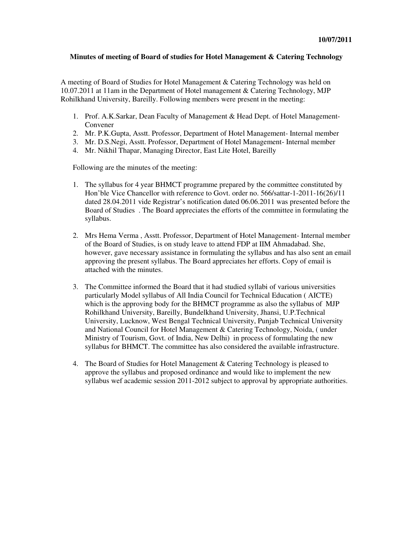#### **Minutes of meeting of Board of studies for Hotel Management & Catering Technology**

A meeting of Board of Studies for Hotel Management & Catering Technology was held on 10.07.2011 at 11am in the Department of Hotel management & Catering Technology, MJP Rohilkhand University, Bareilly. Following members were present in the meeting:

- 1. Prof. A.K.Sarkar, Dean Faculty of Management & Head Dept. of Hotel Management-Convener
- 2. Mr. P.K.Gupta, Asstt. Professor, Department of Hotel Management- Internal member
- 3. Mr. D.S.Negi, Asstt. Professor, Department of Hotel Management- Internal member
- 4. Mr. Nikhil Thapar, Managing Director, East Lite Hotel, Bareilly

Following are the minutes of the meeting:

- 1. The syllabus for 4 year BHMCT programme prepared by the committee constituted by Hon'ble Vice Chancellor with reference to Govt. order no. 566/sattar-1-2011-16(26)/11 dated 28.04.2011 vide Registrar's notification dated 06.06.2011 was presented before the Board of Studies . The Board appreciates the efforts of the committee in formulating the syllabus.
- 2. Mrs Hema Verma , Asstt. Professor, Department of Hotel Management- Internal member of the Board of Studies, is on study leave to attend FDP at IIM Ahmadabad. She, however, gave necessary assistance in formulating the syllabus and has also sent an email approving the present syllabus. The Board appreciates her efforts. Copy of email is attached with the minutes.
- 3. The Committee informed the Board that it had studied syllabi of various universities particularly Model syllabus of All India Council for Technical Education ( AICTE) which is the approving body for the BHMCT programme as also the syllabus of MJP Rohilkhand University, Bareilly, Bundelkhand University, Jhansi, U.P.Technical University, Lucknow, West Bengal Technical University, Punjab Technical University and National Council for Hotel Management & Catering Technology, Noida, ( under Ministry of Tourism, Govt. of India, New Delhi) in process of formulating the new syllabus for BHMCT. The committee has also considered the available infrastructure.
- 4. The Board of Studies for Hotel Management & Catering Technology is pleased to approve the syllabus and proposed ordinance and would like to implement the new syllabus wef academic session 2011-2012 subject to approval by appropriate authorities.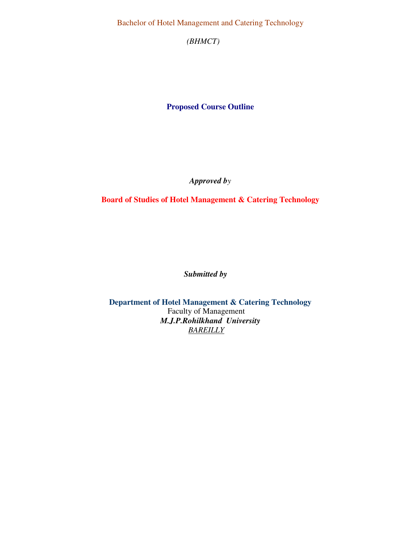Bachelor of Hotel Management and Catering Technology

*(BHMCT)* 

**Proposed Course Outline** 

*Approved by* 

**Board of Studies of Hotel Management & Catering Technology** 

*Submitted by* 

**Department of Hotel Management & Catering Technology**  Faculty of Management *M.J.P.Rohilkhand University BAREILLY*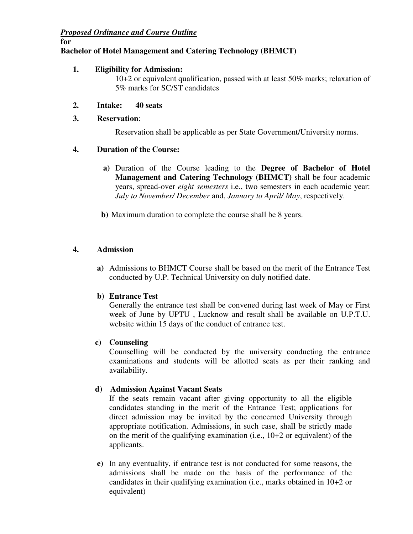# *Proposed Ordinance and Course Outline*

**for** 

# **Bachelor of Hotel Management and Catering Technology (BHMCT)**

## **1. Eligibility for Admission:**

10+2 or equivalent qualification, passed with at least 50% marks; relaxation of 5% marks for SC/ST candidates

## **2. Intake: 40 seats**

## **3. Reservation**:

Reservation shall be applicable as per State Government/University norms.

## **4. Duration of the Course:**

- **a)** Duration of the Course leading to the **Degree of Bachelor of Hotel Management and Catering Technology (BHMCT)** shall be four academic years, spread-over *eight semesters* i.e., two semesters in each academic year: *July to November/ December* and, *January to April/ May*, respectively.
- **b)** Maximum duration to complete the course shall be 8 years.

# **4. Admission**

**a)** Admissions to BHMCT Course shall be based on the merit of the Entrance Test conducted by U.P. Technical University on duly notified date.

### **b) Entrance Test**

Generally the entrance test shall be convened during last week of May or First week of June by UPTU , Lucknow and result shall be available on U.P.T.U. website within 15 days of the conduct of entrance test.

### **c) Counseling**

Counselling will be conducted by the university conducting the entrance examinations and students will be allotted seats as per their ranking and availability.

# **d) Admission Against Vacant Seats**

If the seats remain vacant after giving opportunity to all the eligible candidates standing in the merit of the Entrance Test; applications for direct admission may be invited by the concerned University through appropriate notification. Admissions, in such case, shall be strictly made on the merit of the qualifying examination (i.e., 10+2 or equivalent) of the applicants.

 **e)** In any eventuality, if entrance test is not conducted for some reasons, the admissions shall be made on the basis of the performance of the candidates in their qualifying examination (i.e., marks obtained in 10+2 or equivalent)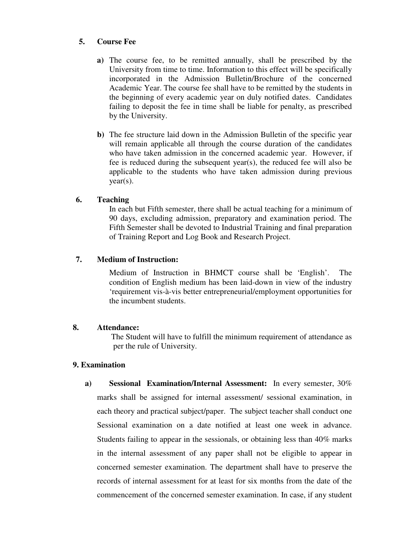### **5. Course Fee**

- **a)** The course fee, to be remitted annually, shall be prescribed by the University from time to time. Information to this effect will be specifically incorporated in the Admission Bulletin/Brochure of the concerned Academic Year. The course fee shall have to be remitted by the students in the beginning of every academic year on duly notified dates. Candidates failing to deposit the fee in time shall be liable for penalty, as prescribed by the University.
- **b)** The fee structure laid down in the Admission Bulletin of the specific year will remain applicable all through the course duration of the candidates who have taken admission in the concerned academic year. However, if fee is reduced during the subsequent year(s), the reduced fee will also be applicable to the students who have taken admission during previous year(s).

## **6. Teaching**

In each but Fifth semester, there shall be actual teaching for a minimum of 90 days, excluding admission, preparatory and examination period. The Fifth Semester shall be devoted to Industrial Training and final preparation of Training Report and Log Book and Research Project.

## **7. Medium of Instruction:**

Medium of Instruction in BHMCT course shall be 'English'. The condition of English medium has been laid-down in view of the industry 'requirement vis-à-vis better entrepreneurial/employment opportunities for the incumbent students.

### **8. Attendance:**

 The Student will have to fulfill the minimum requirement of attendance as per the rule of University.

### **9. Examination**

**a) Sessional Examination/Internal Assessment:** In every semester, 30% marks shall be assigned for internal assessment/ sessional examination, in each theory and practical subject/paper. The subject teacher shall conduct one Sessional examination on a date notified at least one week in advance. Students failing to appear in the sessionals, or obtaining less than 40% marks in the internal assessment of any paper shall not be eligible to appear in concerned semester examination. The department shall have to preserve the records of internal assessment for at least for six months from the date of the commencement of the concerned semester examination. In case, if any student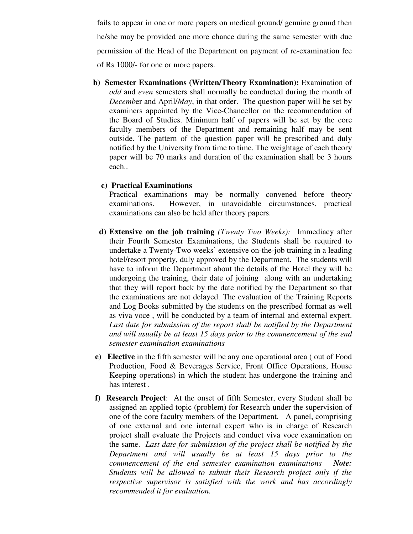fails to appear in one or more papers on medical ground/ genuine ground then he/she may be provided one more chance during the same semester with due permission of the Head of the Department on payment of re-examination fee of Rs 1000/- for one or more papers.

 **b) Semester Examinations (Written/Theory Examination):** Examination of *odd* and *even* semesters shall normally be conducted during the month of *Decemb*er and April/*May*, in that order. The question paper will be set by examiners appointed by the Vice-Chancellor on the recommendation of the Board of Studies. Minimum half of papers will be set by the core faculty members of the Department and remaining half may be sent outside. The pattern of the question paper will be prescribed and duly notified by the University from time to time. The weightage of each theory paper will be 70 marks and duration of the examination shall be 3 hours each..

#### **c) Practical Examinations**

Practical examinations may be normally convened before theory examinations. However, in unavoidable circumstances, practical examinations can also be held after theory papers.

- **d) Extensive on the job training** *(Twenty Two Weeks):* Immediacy after their Fourth Semester Examinations, the Students shall be required to undertake a Twenty-Two weeks' extensive on-the-job training in a leading hotel/resort property, duly approved by the Department. The students will have to inform the Department about the details of the Hotel they will be undergoing the training, their date of joining along with an undertaking that they will report back by the date notified by the Department so that the examinations are not delayed. The evaluation of the Training Reports and Log Books submitted by the students on the prescribed format as well as viva voce , will be conducted by a team of internal and external expert. Last date for submission of the report shall be notified by the Department *and will usually be at least 15 days prior to the commencement of the end semester examination examinations*
- **e) Elective** in the fifth semester will be any one operational area ( out of Food Production, Food & Beverages Service, Front Office Operations, House Keeping operations) in which the student has undergone the training and has interest .
- **f) Research Project**: At the onset of fifth Semester, every Student shall be assigned an applied topic (problem) for Research under the supervision of one of the core faculty members of the Department. A panel, comprising of one external and one internal expert who is in charge of Research project shall evaluate the Projects and conduct viva voce examination on the same. *Last date for submission of the project shall be notified by the Department and will usually be at least 15 days prior to the commencement of the end semester examination examinations Note: Students will be allowed to submit their Research project only if the respective supervisor is satisfied with the work and has accordingly recommended it for evaluation.*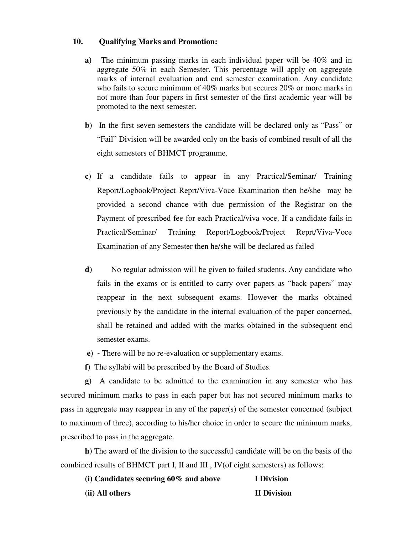### **10. Qualifying Marks and Promotion:**

- **a)** The minimum passing marks in each individual paper will be 40% and in aggregate 50% in each Semester. This percentage will apply on aggregate marks of internal evaluation and end semester examination. Any candidate who fails to secure minimum of 40% marks but secures 20% or more marks in not more than four papers in first semester of the first academic year will be promoted to the next semester.
- **b)** In the first seven semesters the candidate will be declared only as "Pass" or "Fail" Division will be awarded only on the basis of combined result of all the eight semesters of BHMCT programme.
- **c)** If a candidate fails to appear in any Practical/Seminar/ Training Report/Logbook/Project Reprt/Viva-Voce Examination then he/she may be provided a second chance with due permission of the Registrar on the Payment of prescribed fee for each Practical/viva voce. If a candidate fails in Practical/Seminar/ Training Report/Logbook/Project Reprt/Viva-Voce Examination of any Semester then he/she will be declared as failed
- **d)** No regular admission will be given to failed students. Any candidate who fails in the exams or is entitled to carry over papers as "back papers" may reappear in the next subsequent exams. However the marks obtained previously by the candidate in the internal evaluation of the paper concerned, shall be retained and added with the marks obtained in the subsequent end semester exams.
- **e) -** There will be no re-evaluation or supplementary exams.
- **f)** The syllabi will be prescribed by the Board of Studies.

**g)** A candidate to be admitted to the examination in any semester who has secured minimum marks to pass in each paper but has not secured minimum marks to pass in aggregate may reappear in any of the paper(s) of the semester concerned (subject to maximum of three), according to his/her choice in order to secure the minimum marks, prescribed to pass in the aggregate.

**h)** The award of the division to the successful candidate will be on the basis of the combined results of BHMCT part I, II and III , IV(of eight semesters) as follows:

| (i) Candidates securing $60\%$ and above | I Division         |
|------------------------------------------|--------------------|
| (ii) All others                          | <b>II Division</b> |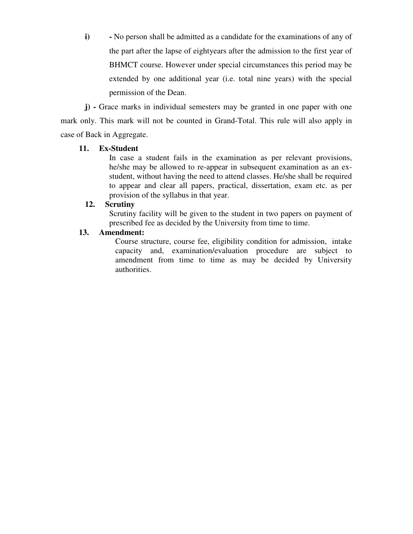**i) -** No person shall be admitted as a candidate for the examinations of any of the part after the lapse of eightyears after the admission to the first year of BHMCT course. However under special circumstances this period may be extended by one additional year (i.e. total nine years) with the special permission of the Dean.

**j) -** Grace marks in individual semesters may be granted in one paper with one mark only. This mark will not be counted in Grand-Total. This rule will also apply in case of Back in Aggregate.

### **11. Ex-Student**

 In case a student fails in the examination as per relevant provisions, he/she may be allowed to re-appear in subsequent examination as an exstudent, without having the need to attend classes. He/she shall be required to appear and clear all papers, practical, dissertation, exam etc. as per provision of the syllabus in that year.

## **12. Scrutiny**

 Scrutiny facility will be given to the student in two papers on payment of prescribed fee as decided by the University from time to time.

## **13. Amendment:**

Course structure, course fee, eligibility condition for admission, intake capacity and, examination/evaluation procedure are subject to amendment from time to time as may be decided by University authorities.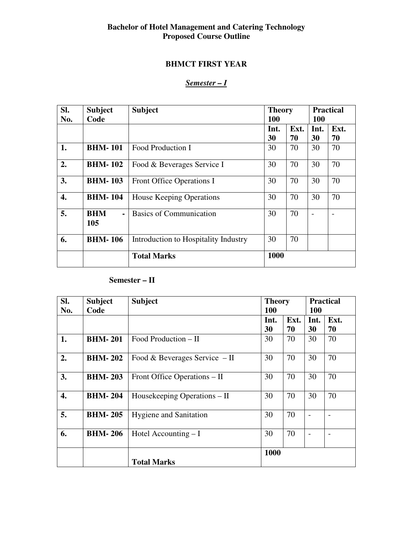## **Bachelor of Hotel Management and Catering Technology Proposed Course Outline**

# **BHMCT FIRST YEAR**

# *Semester – I*

| SI. | <b>Subject</b>                      | <b>Subject</b>                       |      | <b>Theory</b> |      | <b>Practical</b> |  |
|-----|-------------------------------------|--------------------------------------|------|---------------|------|------------------|--|
| No. | Code                                |                                      | 100  |               |      | <b>100</b>       |  |
|     |                                     |                                      | Int. | Ext.          | Int. | Ext.             |  |
|     |                                     |                                      | 30   | 70            | 30   | 70               |  |
| 1.  | <b>BHM-101</b>                      | Food Production I                    | 30   | 70            | 30   | 70               |  |
| 2.  | <b>BHM-102</b>                      | Food & Beverages Service I           | 30   | 70            | 30   | 70               |  |
| 3.  | <b>BHM-103</b>                      | Front Office Operations I            | 30   | 70            | 30   | 70               |  |
| 4.  | <b>BHM-104</b>                      | <b>House Keeping Operations</b>      | 30   | 70            | 30   | 70               |  |
| 5.  | <b>BHM</b><br>$\blacksquare$<br>105 | <b>Basics of Communication</b>       | 30   | 70            |      |                  |  |
| 6.  | <b>BHM-106</b>                      | Introduction to Hospitality Industry | 30   | 70            |      |                  |  |
|     |                                     | <b>Total Marks</b>                   | 1000 |               |      |                  |  |

# **Semester – II**

| SI. | <b>Subject</b> | <b>Subject</b>                 | <b>Theory</b> |      | <b>Practical</b> |            |  |
|-----|----------------|--------------------------------|---------------|------|------------------|------------|--|
| No. | Code           |                                | <b>100</b>    |      |                  | <b>100</b> |  |
|     |                |                                | Int.          | Ext. | Int.             | Ext.       |  |
|     |                |                                | 30            | 70   | 30               | 70         |  |
| 1.  | <b>BHM-201</b> | Food Production $-$ II         | 30            | 70   | 30               | 70         |  |
| 2.  | <b>BHM-202</b> | Food & Beverages Service $-II$ | 30            | 70   | 30               | 70         |  |
| 3.  | <b>BHM-203</b> | Front Office Operations – II   | 30            | 70   | 30               | 70         |  |
| 4.  | <b>BHM-204</b> | Housekeeping Operations – II   | 30            | 70   | 30               | 70         |  |
| 5.  | <b>BHM-205</b> | <b>Hygiene and Sanitation</b>  | 30            | 70   |                  |            |  |
| 6.  | <b>BHM-206</b> | Hotel Accounting $-I$          | 30            | 70   |                  |            |  |
|     |                | <b>Total Marks</b>             | 1000          |      |                  |            |  |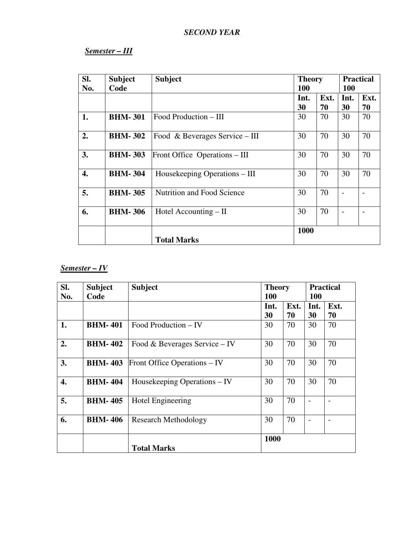# *SECOND YEAR*

# *Semester – III*

| SI.<br>No. | <b>Subject</b><br>Code | <b>Subject</b>                 | <b>Theory</b><br>100 |            | <b>Practical</b><br><b>100</b> |            |
|------------|------------------------|--------------------------------|----------------------|------------|--------------------------------|------------|
|            |                        |                                | Int.<br>30           | Ext.<br>70 | Int.<br>30                     | Ext.<br>70 |
| 1.         | <b>BHM-301</b>         | Food Production – III          | 30                   | 70         | 30                             | 70         |
| 2.         | <b>BHM-302</b>         | Food & Beverages Service – III | 30                   | 70         | 30                             | 70         |
| 3.         | <b>BHM-303</b>         | Front Office Operations – III  | 30                   | 70         | 30                             | 70         |
| 4.         | <b>BHM-304</b>         | Housekeeping Operations – III  | 30                   | 70         | 30                             | 70         |
| 5.         | <b>BHM-305</b>         | Nutrition and Food Science     | 30                   | 70         |                                |            |
| 6.         | <b>BHM-306</b>         | Hotel Accounting – II          | 30                   | 70         |                                |            |
|            |                        | <b>Total Marks</b>             | 1000                 |            |                                |            |

# *Semester – IV*

| SI.<br>No.         | <b>Subject</b><br>Code | <b>Subject</b>                | <b>Theory</b><br><b>100</b> |            | <b>Practical</b><br><b>100</b> |            |
|--------------------|------------------------|-------------------------------|-----------------------------|------------|--------------------------------|------------|
|                    |                        |                               | Int.<br>30                  | Ext.<br>70 | Int.<br>30                     | Ext.<br>70 |
| 1.                 | <b>BHM-401</b>         | Food Production – IV          | 30                          | 70         | 30                             | 70         |
| 2.                 | <b>BHM-402</b>         | Food & Beverages Service – IV | 30                          | 70         | 30                             | 70         |
| 3.                 | <b>BHM-403</b>         | Front Office Operations – IV  | 30                          | 70         | 30                             | 70         |
| $\boldsymbol{4}$ . | <b>BHM-404</b>         | Housekeeping Operations – IV  | 30                          | 70         | 30                             | 70         |
| 5.                 | <b>BHM-405</b>         | Hotel Engineering             | 30                          | 70         |                                |            |
| 6.                 | <b>BHM-406</b>         | <b>Research Methodology</b>   | 30                          | 70         |                                |            |
|                    |                        | <b>Total Marks</b>            | 1000                        |            |                                |            |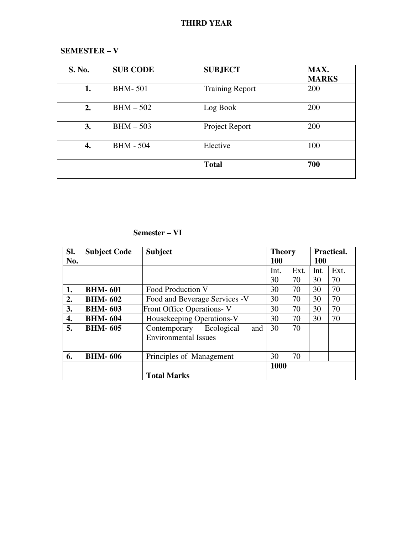# **THIRD YEAR**

# **SEMESTER – V**

| S. No. | <b>SUB CODE</b>  | <b>SUBJECT</b>         | MAX.         |
|--------|------------------|------------------------|--------------|
|        |                  |                        | <b>MARKS</b> |
| 1.     | <b>BHM-501</b>   | <b>Training Report</b> | 200          |
| 2.     | $BHM - 502$      | Log Book               | 200          |
| 3.     | $BHM - 503$      | Project Report         | 200          |
| 4.     | <b>BHM - 504</b> | Elective               | 100          |
|        |                  | <b>Total</b>           | 700          |

# **Semester – VI**

| SI. | <b>Subject Code</b> | <b>Subject</b>                                                   | <b>Theory</b> |      | Practical. |      |
|-----|---------------------|------------------------------------------------------------------|---------------|------|------------|------|
| No. |                     |                                                                  | 100           |      | <b>100</b> |      |
|     |                     |                                                                  | Int.          | Ext. | Int.       | Ext. |
|     |                     |                                                                  | 30            | 70   | 30         | 70   |
| 1.  | <b>BHM-601</b>      | Food Production V                                                | 30            | 70   | 30         | 70   |
| 2.  | <b>BHM-602</b>      | Food and Beverage Services -V                                    | 30            | 70   | 30         | 70   |
| 3.  | <b>BHM-603</b>      | Front Office Operations-V                                        | 30            | 70   | 30         | 70   |
| 4.  | <b>BHM-604</b>      | Housekeeping Operations-V                                        | 30            | 70   | 30         | 70   |
| 5.  | <b>BHM-605</b>      | Ecological<br>Contemporary<br>and<br><b>Environmental Issues</b> | 30            | 70   |            |      |
| 6.  | <b>BHM-606</b>      | Principles of Management                                         | 30            | 70   |            |      |
|     |                     |                                                                  | 1000          |      |            |      |
|     |                     | <b>Total Marks</b>                                               |               |      |            |      |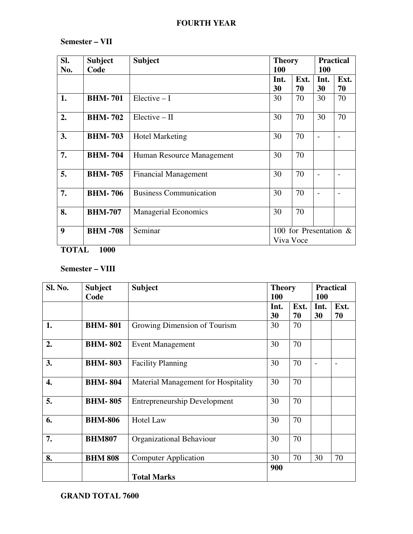# **FOURTH YEAR**

# **Semester – VII**

| SI.<br>No.       | <b>Subject</b><br>Code | <b>Subject</b>                | <b>Theory</b><br><b>100</b>            |            | <b>Practical</b><br>100 |            |  |
|------------------|------------------------|-------------------------------|----------------------------------------|------------|-------------------------|------------|--|
|                  |                        |                               | Int.<br>30                             | Ext.<br>70 | Int.<br>30              | Ext.<br>70 |  |
| 1.               | <b>BHM-701</b>         | $Electric - I$                | 30                                     | 70         | 30                      | 70         |  |
| 2.               | <b>BHM-702</b>         | $Electric - II$               | 30                                     | 70         | 30                      | 70         |  |
| 3.               | <b>BHM-703</b>         | <b>Hotel Marketing</b>        | 30                                     | 70         |                         |            |  |
| 7.               | <b>BHM-704</b>         | Human Resource Management     | 30                                     | 70         |                         |            |  |
| 5.               | <b>BHM-705</b>         | <b>Financial Management</b>   | 30                                     | 70         |                         |            |  |
| 7.               | <b>BHM-706</b>         | <b>Business Communication</b> | 30                                     | 70         |                         |            |  |
| 8.               | <b>BHM-707</b>         | <b>Managerial Economics</b>   | 30                                     | 70         |                         |            |  |
| $\boldsymbol{9}$ | <b>BHM-708</b>         | Seminar                       | 100 for Presentation $\&$<br>Viva Voce |            |                         |            |  |

**TOTAL 1000** 

# **Semester – VIII**

| Sl. No. | <b>Subject</b> | <b>Subject</b>                      | <b>Theory</b> |      | <b>Practical</b> |      |
|---------|----------------|-------------------------------------|---------------|------|------------------|------|
|         | Code           |                                     | 100           |      | <b>100</b>       |      |
|         |                |                                     | Int.          | Ext. | Int.             | Ext. |
|         |                |                                     | 30            | 70   | 30               | 70   |
| 1.      | <b>BHM-801</b> | Growing Dimension of Tourism        | 30            | 70   |                  |      |
| 2.      | <b>BHM-802</b> | <b>Event Management</b>             | 30            | 70   |                  |      |
| 3.      | <b>BHM-803</b> | <b>Facility Planning</b>            | 30            | 70   |                  |      |
| 4.      | <b>BHM-804</b> | Material Management for Hospitality | 30            | 70   |                  |      |
| 5.      | <b>BHM-805</b> | <b>Entrepreneurship Development</b> | 30            | 70   |                  |      |
| 6.      | <b>BHM-806</b> | <b>Hotel Law</b>                    | 30            | 70   |                  |      |
| 7.      | <b>BHM807</b>  | Organizational Behaviour            | 30            | 70   |                  |      |
| 8.      | <b>BHM 808</b> | <b>Computer Application</b>         | 30            | 70   | 30               | 70   |
|         |                | <b>Total Marks</b>                  | 900           |      |                  |      |
|         |                |                                     |               |      |                  |      |

# **GRAND TOTAL 7600**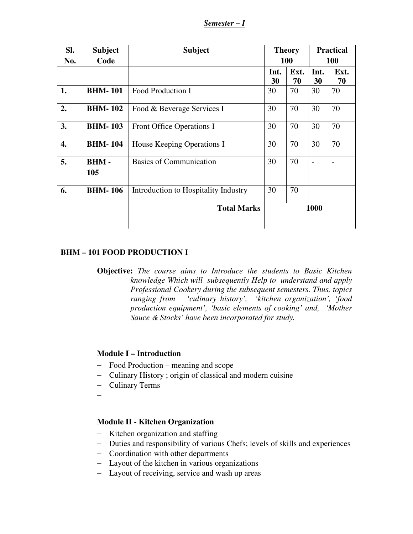*Semester – I*

| Sl. | <b>Subject</b>     | <b>Subject</b>                       | <b>Theory</b> |            |            | <b>Practical</b> |
|-----|--------------------|--------------------------------------|---------------|------------|------------|------------------|
| No. | Code               |                                      | 100           |            | <b>100</b> |                  |
|     |                    |                                      | Int.<br>30    | Ext.<br>70 | Int.<br>30 | Ext.<br>70       |
| 1.  | <b>BHM-101</b>     | Food Production I                    | 30            | 70         | 30         | 70               |
| 2.  | <b>BHM-102</b>     | Food & Beverage Services I           | 30            | 70         | 30         | 70               |
| 3.  | <b>BHM-103</b>     | Front Office Operations I            | 30            | 70         | 30         | 70               |
| 4.  | <b>BHM-104</b>     | House Keeping Operations I           | 30            | 70         | 30         | 70               |
| 5.  | <b>BHM-</b><br>105 | <b>Basics of Communication</b>       | 30            | 70         |            |                  |
| 6.  | <b>BHM-106</b>     | Introduction to Hospitality Industry | 30            | 70         |            |                  |
|     |                    | <b>Total Marks</b>                   | 1000          |            |            |                  |

### **BHM – 101 FOOD PRODUCTION I**

**Objective:** *The course aims to Introduce the students to Basic Kitchen knowledge Which will subsequently Help to understand and apply Professional Cookery during the subsequent semesters. Thus, topics ranging from 'culinary history', 'kitchen organization', 'food production equipment', 'basic elements of cooking' and, 'Mother Sauce & Stocks' have been incorporated for study.* 

### **Module I – Introduction**

- − Food Production meaning and scope
- − Culinary History ; origin of classical and modern cuisine
- − Culinary Terms
- −

# **Module II - Kitchen Organization**

- − Kitchen organization and staffing
- − Duties and responsibility of various Chefs; levels of skills and experiences
- − Coordination with other departments
- − Layout of the kitchen in various organizations
- − Layout of receiving, service and wash up areas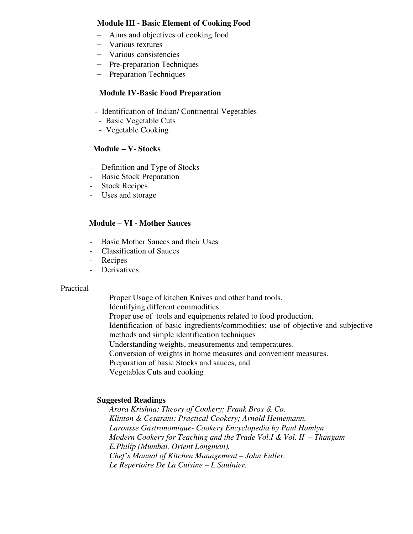### **Module III - Basic Element of Cooking Food**

- − Aims and objectives of cooking food
- − Various textures
- − Various consistencies
- − Pre-preparation Techniques
- − Preparation Techniques

### **Module IV-Basic Food Preparation**

- Identification of Indian/ Continental Vegetables
- Basic Vegetable Cuts
- Vegetable Cooking

## **Module – V- Stocks**

- Definition and Type of Stocks
- Basic Stock Preparation
- Stock Recipes
- Uses and storage

### **Module – VI - Mother Sauces**

- Basic Mother Sauces and their Uses
- Classification of Sauces
- Recipes
- **Derivatives**

#### Practical

Proper Usage of kitchen Knives and other hand tools. Identifying different commodities Proper use of tools and equipments related to food production. Identification of basic ingredients/commodities; use of objective and subjective methods and simple identification techniques Understanding weights, measurements and temperatures. Conversion of weights in home measures and convenient measures. Preparation of basic Stocks and sauces, and Vegetables Cuts and cooking

### **Suggested Readings**

*Arora Krishna: Theory of Cookery; Frank Bros & Co. Klinton & Cesarani: Practical Cookery; Arnold Heinemann. Larousse Gastronomique- Cookery Encyclopedia by Paul Hamlyn Modern Cookery for Teaching and the Trade Vol.I & Vol. II – Thangam E.Philip (Mumbai, Orient Longman). Chef's Manual of Kitchen Management – John Fuller. Le Repertoire De La Cuisine – L.Saulnier.*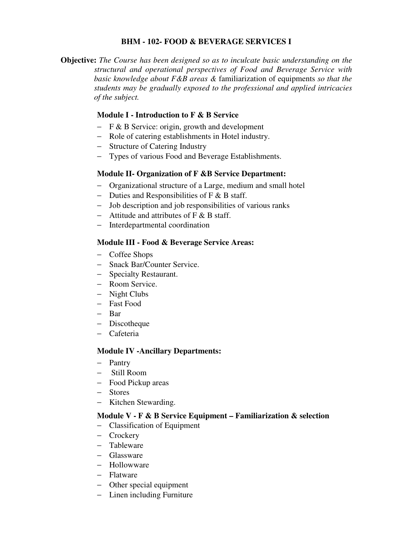### **BHM - 102- FOOD & BEVERAGE SERVICES I**

**Objective:** *The Course has been designed so as to inculcate basic understanding on the structural and operational perspectives of Food and Beverage Service with basic knowledge about F&B areas &* familiarization of equipments *so that the students may be gradually exposed to the professional and applied intricacies of the subject.*

# **Module I - Introduction to F & B Service**

- − F & B Service: origin, growth and development
- − Role of catering establishments in Hotel industry.
- − Structure of Catering Industry
- − Types of various Food and Beverage Establishments.

## **Module II- Organization of F &B Service Department:**

- − Organizational structure of a Large, medium and small hotel
- − Duties and Responsibilities of F & B staff.
- − Job description and job responsibilities of various ranks
- − Attitude and attributes of F & B staff.
- − Interdepartmental coordination

## **Module III - Food & Beverage Service Areas:**

- − Coffee Shops
- − Snack Bar/Counter Service.
- − Specialty Restaurant.
- − Room Service.
- − Night Clubs
- − Fast Food
- − Bar
- − Discotheque
- − Cafeteria

### **Module IV -Ancillary Departments:**

- − Pantry
- − Still Room
- − Food Pickup areas
- − Stores
- − Kitchen Stewarding.

### **Module V - F & B Service Equipment – Familiarization & selection**

- − Classification of Equipment
- − Crockery
- − Tableware
- − Glassware
- − Hollowware
- − Flatware
- − Other special equipment
- − Linen including Furniture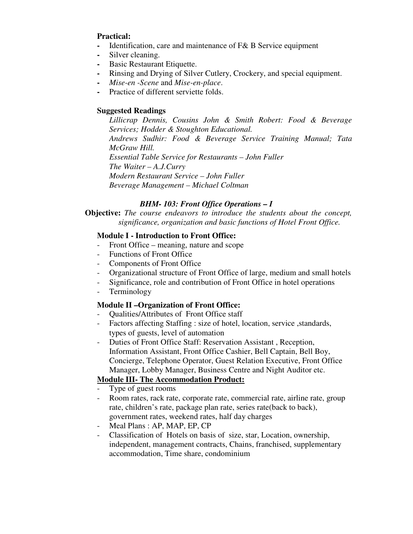## **Practical:**

- **-** Identification, care and maintenance of F& B Service equipment
- **-** Silver cleaning.
- **Basic Restaurant Etiquette.**
- **-** Rinsing and Drying of Silver Cutlery, Crockery, and special equipment.
- **-** *Mise-en -Scene* and *Mise-en-place*.
- **-** Practice of different serviette folds.

# **Suggested Readings**

*Lillicrap Dennis, Cousins John & Smith Robert: Food & Beverage Services; Hodder & Stoughton Educational. Andrews Sudhir: Food & Beverage Service Training Manual; Tata McGraw Hill. Essential Table Service for Restaurants – John Fuller The Waiter – A.J.Curry Modern Restaurant Service – John Fuller Beverage Management – Michael Coltman* 

# *BHM- 103: Front Office Operations – I*

**Objective:** *The course endeavors to introduce the students about the concept, significance, organization and basic functions of Hotel Front Office.* 

## **Module I - Introduction to Front Office:**

- Front Office meaning, nature and scope
- Functions of Front Office
- Components of Front Office
- Organizational structure of Front Office of large, medium and small hotels
- Significance, role and contribution of Front Office in hotel operations
- Terminology

# **Module II –Organization of Front Office:**

- Qualities/Attributes of Front Office staff
- Factors affecting Staffing : size of hotel, location, service, standards, types of guests, level of automation
- Duties of Front Office Staff: Reservation Assistant , Reception, Information Assistant, Front Office Cashier, Bell Captain, Bell Boy, Concierge, Telephone Operator, Guest Relation Executive, Front Office Manager, Lobby Manager, Business Centre and Night Auditor etc.

# **Module III- The Accommodation Product:**

- Type of guest rooms
- Room rates, rack rate, corporate rate, commercial rate, airline rate, group rate, children's rate, package plan rate, series rate(back to back), government rates, weekend rates, half day charges
- Meal Plans: AP, MAP, EP, CP
- Classification of Hotels on basis of size, star, Location, ownership, independent, management contracts, Chains, franchised, supplementary accommodation, Time share, condominium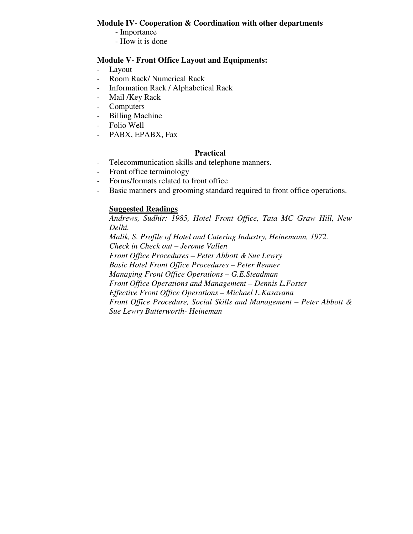### **Module IV- Cooperation & Coordination with other departments**

- Importance
- How it is done

## **Module V- Front Office Layout and Equipments:**

- Layout
- Room Rack/ Numerical Rack
- Information Rack / Alphabetical Rack
- Mail /Key Rack
- Computers
- Billing Machine
- Folio Well
- PABX, EPABX, Fax

## **Practical**

- Telecommunication skills and telephone manners.
- Front office terminology
- Forms/formats related to front office
- Basic manners and grooming standard required to front office operations.

## **Suggested Readings**

*Andrews, Sudhir: 1985, Hotel Front Office, Tata MC Graw Hill, New Delhi. Malik, S. Profile of Hotel and Catering Industry, Heinemann, 1972. Check in Check out – Jerome Vallen Front Office Procedures – Peter Abbott & Sue Lewry Basic Hotel Front Office Procedures – Peter Renner Managing Front Office Operations – G.E.Steadman Front Office Operations and Management – Dennis L.Foster Effective Front Office Operations – Michael L.Kasavana Front Office Procedure, Social Skills and Management – Peter Abbott & Sue Lewry Butterworth- Heineman*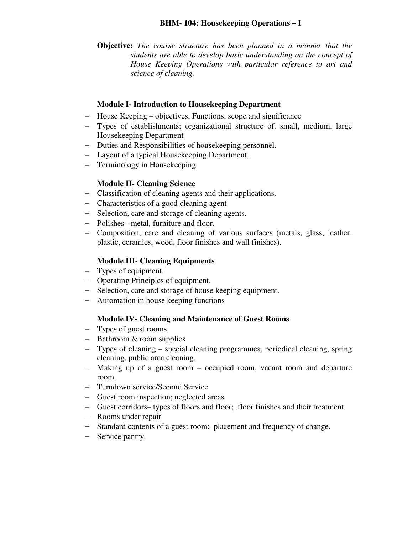**Objective:** *The course structure has been planned in a manner that the students are able to develop basic understanding on the concept of House Keeping Operations with particular reference to art and science of cleaning.*

## **Module I- Introduction to Housekeeping Department**

- − House Keeping objectives, Functions, scope and significance
- − Types of establishments; organizational structure of. small, medium, large Housekeeping Department
- − Duties and Responsibilities of housekeeping personnel.
- − Layout of a typical Housekeeping Department.
- − Terminology in Housekeeping

## **Module II- Cleaning Science**

- − Classification of cleaning agents and their applications.
- − Characteristics of a good cleaning agent
- − Selection, care and storage of cleaning agents.
- − Polishes metal, furniture and floor.
- − Composition, care and cleaning of various surfaces (metals, glass, leather, plastic, ceramics, wood, floor finishes and wall finishes).

## **Module III- Cleaning Equipments**

- − Types of equipment.
- − Operating Principles of equipment.
- − Selection, care and storage of house keeping equipment.
- − Automation in house keeping functions

### **Module IV- Cleaning and Maintenance of Guest Rooms**

- − Types of guest rooms
- − Bathroom & room supplies
- − Types of cleaning special cleaning programmes, periodical cleaning, spring cleaning, public area cleaning.
- − Making up of a guest room occupied room, vacant room and departure room.
- − Turndown service/Second Service
- − Guest room inspection; neglected areas
- − Guest corridors– types of floors and floor; floor finishes and their treatment
- − Rooms under repair
- − Standard contents of a guest room; placement and frequency of change.
- − Service pantry.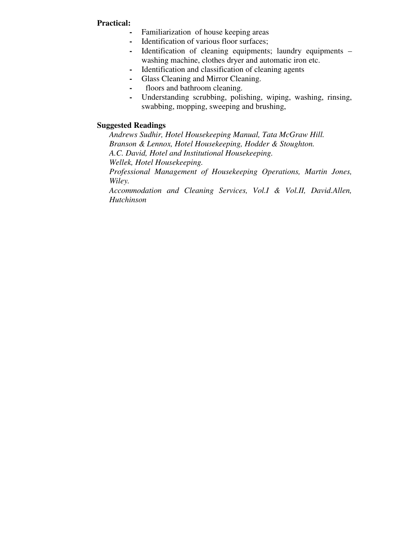### **Practical:**

- **-** Familiarization of house keeping areas
- **-** Identification of various floor surfaces;
- **-** Identification of cleaning equipments; laundry equipments washing machine, clothes dryer and automatic iron etc.
- **-** Identification and classification of cleaning agents
- **-** Glass Cleaning and Mirror Cleaning.
- **-** floors and bathroom cleaning.
- **-** Understanding scrubbing, polishing, wiping, washing, rinsing, swabbing, mopping, sweeping and brushing,

#### **Suggested Readings**

*Andrews Sudhir, Hotel Housekeeping Manual, Tata McGraw Hill. Branson & Lennox, Hotel Housekeeping, Hodder & Stoughton. A.C. David, Hotel and Institutional Housekeeping. Wellek, Hotel Housekeeping.* 

 *Professional Management of Housekeeping Operations, Martin Jones, Wiley.* 

*Accommodation and Cleaning Services, Vol.I & Vol.II, David.Allen, Hutchinson*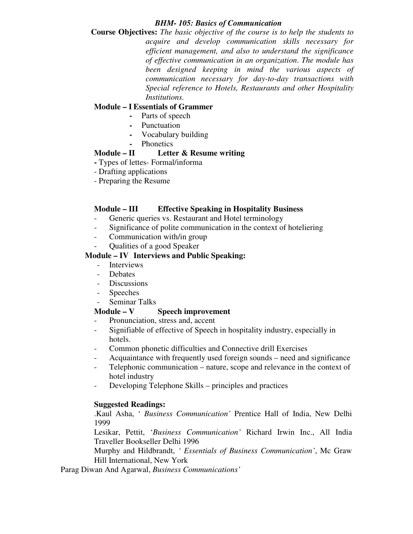### *BHM- 105: Basics of Communication*

**Course Objectives:** *The basic objective of the course is to help the students to acquire and develop communication skills necessary for efficient management, and also to understand the significance of effective communication in an organization*. *The module has been designed keeping in mind the various aspects of communication necessary for day-to-day transactions with Special reference to Hotels, Restaurants and other Hospitality Institutions.* 

# **Module – I Essentials of Grammer**

- **-** Parts of speech
- **-** Punctuation
- **-** Vocabulary building
- **-** Phonetics

# **Module – II Letter & Resume writing**

- Types of lettes- Formal/informa
- Drafting applications
- Preparing the Resume

# **Module – III Effective Speaking in Hospitality Business**

- Generic queries vs. Restaurant and Hotel terminology
- Significance of polite communication in the context of hoteliering
- Communication with/in group
- Qualities of a good Speaker

## **Module – IV Interviews and Public Speaking:**

- Interviews
- Debates
- Discussions
- Speeches
- Seminar Talks

# **Module – V Speech improvement**

- Pronunciation, stress and, accent
- Signifiable of effective of Speech in hospitality industry, especially in hotels.
- Common phonetic difficulties and Connective drill Exercises
- Acquaintance with frequently used foreign sounds need and significance
- Telephonic communication nature, scope and relevance in the context of hotel industry
- Developing Telephone Skills principles and practices

### **Suggested Readings:**

.Kaul Asha, ' *Business Communication'* Prentice Hall of India, New Delhi 1999

Lesikar, Pettit, '*Business Communication'* Richard Irwin Inc., All India Traveller Bookseller Delhi 1996

Murphy and Hildbrandt, *' Essentials of Business Communication'*, Mc Graw Hill International, New York

Parag Diwan And Agarwal, *Business Communications'*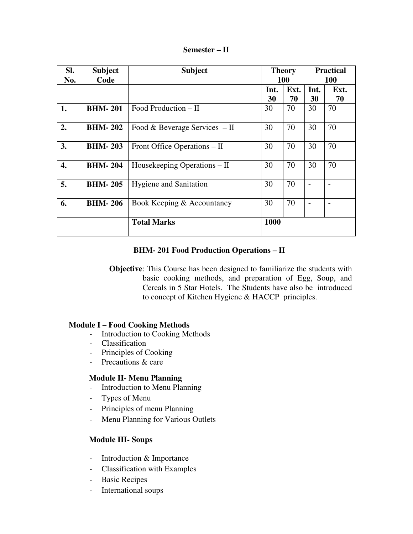| Semester – II |  |
|---------------|--|
|---------------|--|

| SI. | <b>Subject</b> | <b>Subject</b>                 | <b>Theory</b> |      | <b>Practical</b> |      |
|-----|----------------|--------------------------------|---------------|------|------------------|------|
| No. | Code           |                                | 100           |      | 100              |      |
|     |                |                                | Int.          | Ext. | Int.             | Ext. |
|     |                |                                | 30            | 70   | 30               | 70   |
| 1.  | <b>BHM-201</b> | Food Production $-$ II         | 30            | 70   | 30               | 70   |
| 2.  | <b>BHM-202</b> | Food & Beverage Services $-II$ | 30            | 70   | 30               | 70   |
| 3.  | <b>BHM-203</b> | Front Office Operations – II   | 30            | 70   | 30               | 70   |
| 4.  | <b>BHM-204</b> | Housekeeping Operations – II   | 30            | 70   | 30               | 70   |
| 5.  | <b>BHM-205</b> | <b>Hygiene and Sanitation</b>  | 30            | 70   |                  |      |
| 6.  | <b>BHM-206</b> | Book Keeping & Accountancy     | 30            | 70   |                  |      |
|     |                | <b>Total Marks</b>             | 1000          |      |                  |      |

# **BHM- 201 Food Production Operations – II**

**Objective**: This Course has been designed to familiarize the students with basic cooking methods, and preparation of Egg, Soup, and Cereals in 5 Star Hotels. The Students have also be introduced to concept of Kitchen Hygiene & HACCP principles.

### **Module I – Food Cooking Methods**

- Introduction to Cooking Methods
- Classification
- Principles of Cooking
- Precautions & care

### **Module II- Menu Planning**

- Introduction to Menu Planning
- Types of Menu
- Principles of menu Planning
- Menu Planning for Various Outlets

### **Module III- Soups**

- Introduction & Importance
- Classification with Examples
- Basic Recipes
- International soups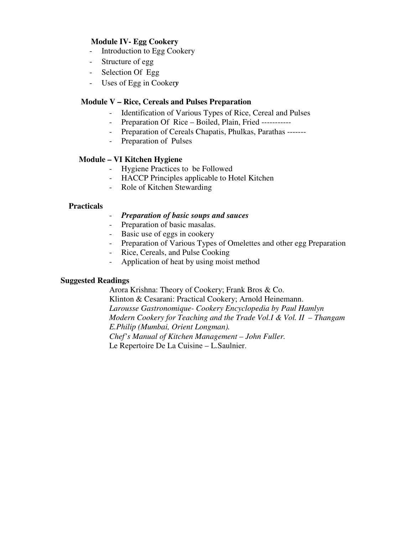## **Module IV- Egg Cookery**

- Introduction to Egg Cookery
- Structure of egg
- Selection Of Egg
- Uses of Egg in Cooker*y*

#### **Module V – Rice, Cereals and Pulses Preparation**

- Identification of Various Types of Rice, Cereal and Pulses
- Preparation Of Rice Boiled, Plain, Fried -----------
- Preparation of Cereals Chapatis, Phulkas, Parathas -------
- Preparation of Pulses

#### **Module – VI Kitchen Hygiene**

- Hygiene Practices to be Followed
- HACCP Principles applicable to Hotel Kitchen
- Role of Kitchen Stewarding

#### **Practicals**

- *Preparation of basic soups and sauces*
- Preparation of basic masalas.
- Basic use of eggs in cookery
- Preparation of Various Types of Omelettes and other egg Preparation
- Rice, Cereals, and Pulse Cooking
- Application of heat by using moist method

#### **Suggested Readings**

Arora Krishna: Theory of Cookery; Frank Bros & Co. Klinton & Cesarani: Practical Cookery; Arnold Heinemann. *Larousse Gastronomique- Cookery Encyclopedia by Paul Hamlyn Modern Cookery for Teaching and the Trade Vol.I & Vol. II – Thangam E.Philip (Mumbai, Orient Longman). Chef's Manual of Kitchen Management – John Fuller.*  Le Repertoire De La Cuisine – L.Saulnier.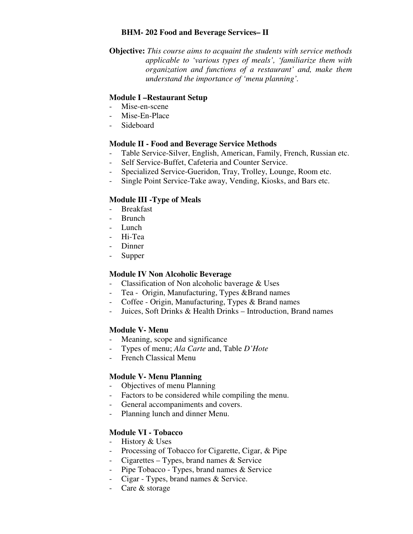### **BHM- 202 Food and Beverage Services– II**

**Objective:** *This course aims to acquaint the students with service methods applicable to 'various types of meals', 'familiarize them with organization and functions of a restaurant' and, make them understand the importance of 'menu planning'.* 

# **Module I –Restaurant Setup**

- Mise-en-scene
- Mise-En-Place
- Sideboard

# **Module II - Food and Beverage Service Methods**

- Table Service-Silver, English, American, Family, French, Russian etc.
- Self Service-Buffet, Cafeteria and Counter Service.
- Specialized Service-Gueridon, Tray, Trolley, Lounge, Room etc.
- Single Point Service-Take away, Vending, Kiosks, and Bars etc.

# **Module III -Type of Meals**

- Breakfast
- Brunch
- Lunch
- Hi-Tea
- Dinner
- Supper

# **Module IV Non Alcoholic Beverage**

- Classification of Non alcoholic baverage & Uses
- Tea Origin, Manufacturing, Types &Brand names
- Coffee Origin, Manufacturing, Types & Brand names
- Juices, Soft Drinks & Health Drinks Introduction, Brand names

# **Module V- Menu**

- Meaning, scope and significance
- Types of menu; *Ala Carte* and, Table *D'Hote*
- French Classical Menu

# **Module V- Menu Planning**

- Objectives of menu Planning
- Factors to be considered while compiling the menu.
- General accompaniments and covers.
- Planning lunch and dinner Menu.

# **Module VI - Tobacco**

- History & Uses
- Processing of Tobacco for Cigarette, Cigar, & Pipe
- Cigarettes Types, brand names & Service
- Pipe Tobacco Types, brand names & Service
- Cigar Types, brand names & Service.
- Care & storage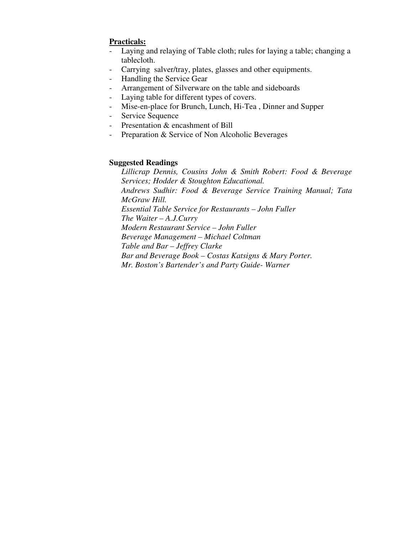# **Practicals:**

- Laying and relaying of Table cloth; rules for laying a table; changing a tablecloth.
- Carrying salver/tray, plates, glasses and other equipments.
- Handling the Service Gear
- Arrangement of Silverware on the table and sideboards
- Laying table for different types of covers.
- Mise-en-place for Brunch, Lunch, Hi-Tea , Dinner and Supper
- Service Sequence
- Presentation & encashment of Bill
- Preparation & Service of Non Alcoholic Beverages

## **Suggested Readings**

*Lillicrap Dennis, Cousins John & Smith Robert: Food & Beverage Services; Hodder & Stoughton Educational. Andrews Sudhir: Food & Beverage Service Training Manual; Tata McGraw Hill. Essential Table Service for Restaurants – John Fuller The Waiter – A.J.Curry Modern Restaurant Service – John Fuller Beverage Management – Michael Coltman Table and Bar – Jeffrey Clarke Bar and Beverage Book – Costas Katsigns & Mary Porter. Mr. Boston's Bartender's and Party Guide- Warner*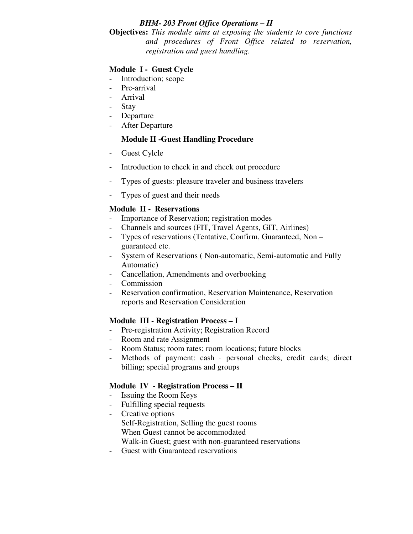## *BHM- 203 Front Office Operations – II*

**Objectives:** *This module aims at exposing the students to core functions and procedures of Front Office related to reservation, registration and guest handling.* 

# **Module I - Guest Cycle**

- Introduction; scope
- Pre-arrival
- Arrival
- Stay
- Departure
- After Departure

# **Module II -Guest Handling Procedure**

- Guest Cylcle
- Introduction to check in and check out procedure
- Types of guests: pleasure traveler and business travelers
- Types of guest and their needs

# **Module II - Reservations**

- Importance of Reservation; registration modes
- Channels and sources (FIT, Travel Agents, GIT, Airlines)
- Types of reservations (Tentative, Confirm, Guaranteed, Non guaranteed etc.
- System of Reservations ( Non-automatic, Semi-automatic and Fully Automatic)
- Cancellation, Amendments and overbooking
- **Commission**
- Reservation confirmation, Reservation Maintenance, Reservation reports and Reservation Consideration

# **Module III - Registration Process – I**

- Pre-registration Activity; Registration Record
- Room and rate Assignment
- Room Status; room rates; room locations; future blocks
- Methods of payment: cash · personal checks, credit cards; direct billing; special programs and groups

# **Module IV - Registration Process – II**

- Issuing the Room Keys
- Fulfilling special requests
- Creative options Self-Registration, Selling the guest rooms When Guest cannot be accommodated Walk-in Guest; guest with non-guaranteed reservations
- Guest with Guaranteed reservations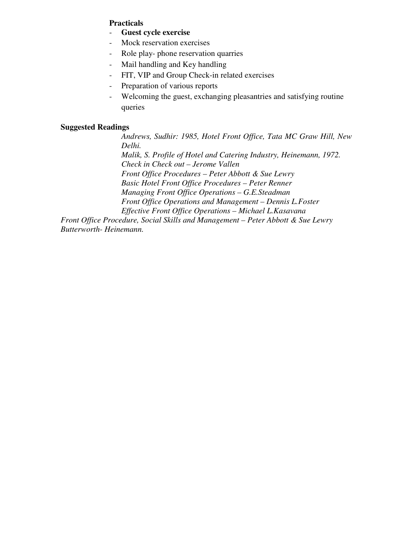## **Practicals**

- **Guest cycle exercise**
- Mock reservation exercises
- Role play- phone reservation quarries
- Mail handling and Key handling
- FIT, VIP and Group Check-in related exercises
- Preparation of various reports
- Welcoming the guest, exchanging pleasantries and satisfying routine queries

### **Suggested Readings**

*Andrews, Sudhir: 1985, Hotel Front Office, Tata MC Graw Hill, New Delhi. Malik, S. Profile of Hotel and Catering Industry, Heinemann, 1972.* 

*Check in Check out – Jerome Vallen Front Office Procedures – Peter Abbott & Sue Lewry Basic Hotel Front Office Procedures – Peter Renner Managing Front Office Operations – G.E.Steadman Front Office Operations and Management – Dennis L.Foster Effective Front Office Operations – Michael L.Kasavana* 

*Front Office Procedure, Social Skills and Management – Peter Abbott & Sue Lewry Butterworth- Heinemann.*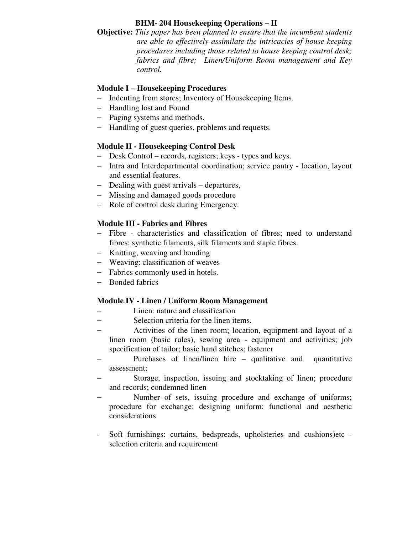# **BHM- 204 Housekeeping Operations – II**

**Objective:** *This paper has been planned to ensure that the incumbent students are able to effectively assimilate the intricacies of house keeping procedures including those related to house keeping control desk; fabrics and fibre; Linen/Uniform Room management and Key control.* 

# **Module I – Housekeeping Procedures**

- − Indenting from stores; Inventory of Housekeeping Items.
- − Handling lost and Found
- − Paging systems and methods.
- − Handling of guest queries, problems and requests.

# **Module II - Housekeeping Control Desk**

- − Desk Control records, registers; keys types and keys.
- − Intra and Interdepartmental coordination; service pantry location, layout and essential features.
- − Dealing with guest arrivals departures,
- − Missing and damaged goods procedure
- − Role of control desk during Emergency.

# **Module III - Fabrics and Fibres**

- − Fibre characteristics and classification of fibres; need to understand fibres; synthetic filaments, silk filaments and staple fibres.
- − Knitting, weaving and bonding
- − Weaving: classification of weaves
- − Fabrics commonly used in hotels.
- − Bonded fabrics

# **Module IV - Linen / Uniform Room Management**

- Linen: nature and classification
- − Selection criteria for the linen items.
- Activities of the linen room; location, equipment and layout of a linen room (basic rules), sewing area - equipment and activities; job specification of tailor; basic hand stitches; fastener
- Purchases of linen/linen hire qualitative and quantitative assessment;
- Storage, inspection, issuing and stocktaking of linen; procedure and records; condemned linen
- Number of sets, issuing procedure and exchange of uniforms; procedure for exchange; designing uniform: functional and aesthetic considerations
- Soft furnishings: curtains, bedspreads, upholsteries and cushions)etc selection criteria and requirement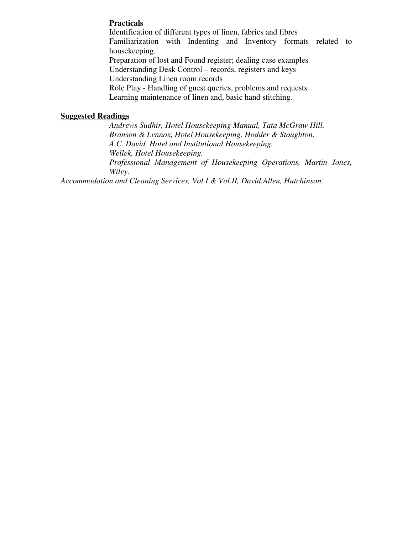## **Practicals**

Identification of different types of linen, fabrics and fibres Familiarization with Indenting and Inventory formats related to housekeeping. Preparation of lost and Found register; dealing case examples Understanding Desk Control – records, registers and keys Understanding Linen room records Role Play - Handling of guest queries, problems and requests Learning maintenance of linen and, basic hand stitching.

### **Suggested Readings**

*Andrews Sudhir, Hotel Housekeeping Manual, Tata McGraw Hill. Branson & Lennox, Hotel Housekeeping, Hodder & Stoughton. A.C. David, Hotel and Institutional Housekeeping. Wellek, Hotel Housekeeping. Professional Management of Housekeeping Operations, Martin Jones, Wiley.* 

*Accommodation and Cleaning Services, Vol.I & Vol.II, David.Allen, Hutchinson.*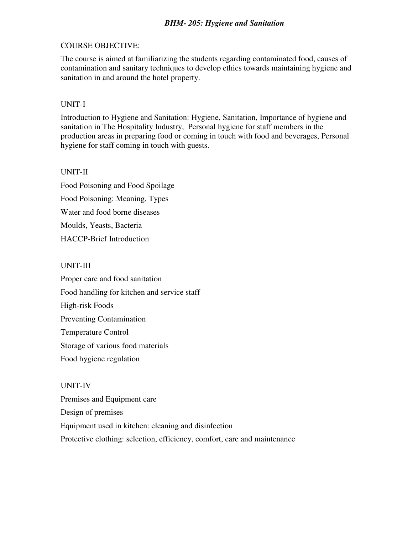## COURSE OBJECTIVE:

The course is aimed at familiarizing the students regarding contaminated food, causes of contamination and sanitary techniques to develop ethics towards maintaining hygiene and sanitation in and around the hotel property.

## UNIT-I

Introduction to Hygiene and Sanitation: Hygiene, Sanitation, Importance of hygiene and sanitation in The Hospitality Industry, Personal hygiene for staff members in the production areas in preparing food or coming in touch with food and beverages, Personal hygiene for staff coming in touch with guests.

# UNIT-II

Food Poisoning and Food Spoilage Food Poisoning: Meaning, Types Water and food borne diseases Moulds, Yeasts, Bacteria HACCP-Brief Introduction

## UNIT-III

Proper care and food sanitation Food handling for kitchen and service staff High-risk Foods Preventing Contamination Temperature Control Storage of various food materials Food hygiene regulation

# UNIT-IV

Premises and Equipment care Design of premises Equipment used in kitchen: cleaning and disinfection Protective clothing: selection, efficiency, comfort, care and maintenance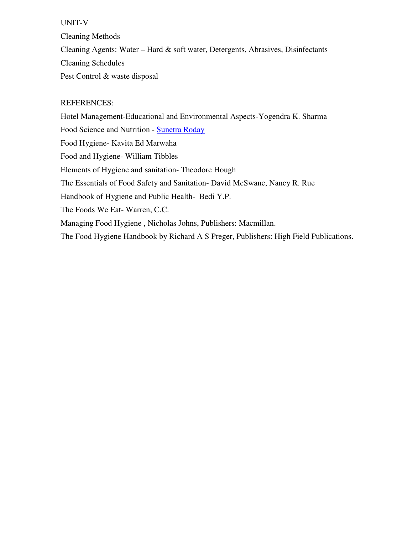### UNIT-V

Cleaning Methods Cleaning Agents: Water – Hard & soft water, Detergents, Abrasives, Disinfectants Cleaning Schedules Pest Control & waste disposal

### REFERENCES:

Hotel Management-Educational and Environmental Aspects-Yogendra K. Sharma Food Science and Nutrition - Sunetra Roday Food Hygiene- Kavita Ed Marwaha Food and Hygiene- William Tibbles Elements of Hygiene and sanitation- Theodore Hough The Essentials of Food Safety and Sanitation- David McSwane, Nancy R. Rue Handbook of Hygiene and Public Health- Bedi Y.P. The Foods We Eat- Warren, C.C. Managing Food Hygiene , Nicholas Johns, Publishers: Macmillan. The Food Hygiene Handbook by Richard A S Preger, Publishers: High Field Publications.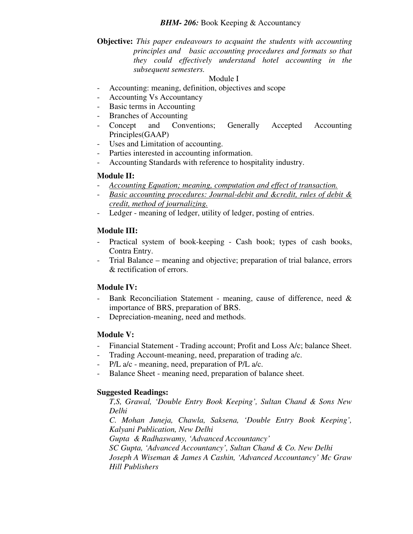## **Objective:** *This paper endeavours to acquaint the students with accounting principles and basic accounting procedures and formats so that they could effectively understand hotel accounting in the subsequent semesters.*

## Module I

- Accounting: meaning, definition, objectives and scope
- Accounting Vs Accountancy
- Basic terms in Accounting
- Branches of Accounting
- Concept and Conventions; Generally Accepted Accounting Principles(GAAP)
- Uses and Limitation of accounting.
- Parties interested in accounting information.
- Accounting Standards with reference to hospitality industry.

## **Module II:**

- *Accounting Equation; meaning, computation and effect of transaction.*
- *Basic accounting procedures: Journal-debit and &credit, rules of debit & credit, method of journalizing.*
- Ledger meaning of ledger, utility of ledger, posting of entries.

# **Module III:**

- Practical system of book-keeping Cash book; types of cash books, Contra Entry.
- Trial Balance meaning and objective; preparation of trial balance, errors & rectification of errors.

# **Module IV:**

- Bank Reconciliation Statement meaning, cause of difference, need & importance of BRS, preparation of BRS.
- Depreciation-meaning, need and methods.

### **Module V:**

- Financial Statement Trading account; Profit and Loss A/c; balance Sheet.
- Trading Account-meaning, need, preparation of trading a/c.
- P/L a/c meaning, need, preparation of P/L a/c.
- Balance Sheet meaning need, preparation of balance sheet.

# **Suggested Readings:**

*T,S, Grawal, 'Double Entry Book Keeping', Sultan Chand & Sons New Delhi* 

*C. Mohan Juneja, Chawla, Saksena, 'Double Entry Book Keeping', Kalyani Publication, New Delhi* 

*Gupta & Radhaswamy, 'Advanced Accountancy'* 

*SC Gupta, 'Advanced Accountancy', Sultan Chand & Co. New Delhi Joseph A Wiseman & James A Cashin, 'Advanced Accountancy' Mc Graw Hill Publishers*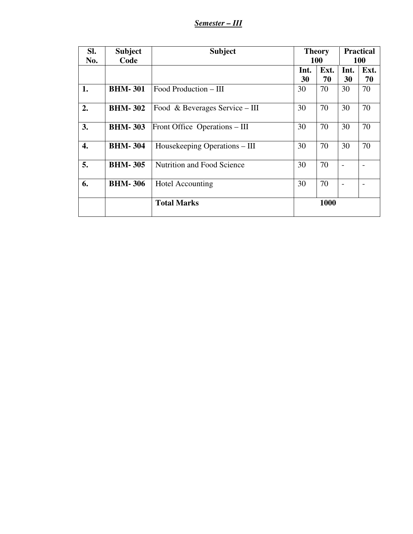*Semester – III*

| SI. | <b>Subject</b> | <b>Subject</b>                 | <b>Theory</b> |      | <b>Practical</b>         |      |
|-----|----------------|--------------------------------|---------------|------|--------------------------|------|
| No. | Code           |                                | <b>100</b>    |      | 100                      |      |
|     |                |                                | Int.          | Ext. | Int.                     | Ext. |
|     |                |                                | 30            | 70   | 30                       | 70   |
| 1.  | <b>BHM-301</b> | Food Production – III          | 30            | 70   | 30                       | 70   |
| 2.  | <b>BHM-302</b> | Food & Beverages Service – III | 30            | 70   | 30                       | 70   |
| 3.  | <b>BHM-303</b> | Front Office Operations – III  | 30            | 70   | 30                       | 70   |
| 4.  | <b>BHM-304</b> | Housekeeping Operations – III  | 30            | 70   | 30                       | 70   |
| 5.  | <b>BHM-305</b> | Nutrition and Food Science     | 30            | 70   | $\overline{\phantom{0}}$ |      |
| 6.  | <b>BHM-306</b> | <b>Hotel Accounting</b>        | 30            | 70   |                          |      |
|     |                | <b>Total Marks</b>             | 1000          |      |                          |      |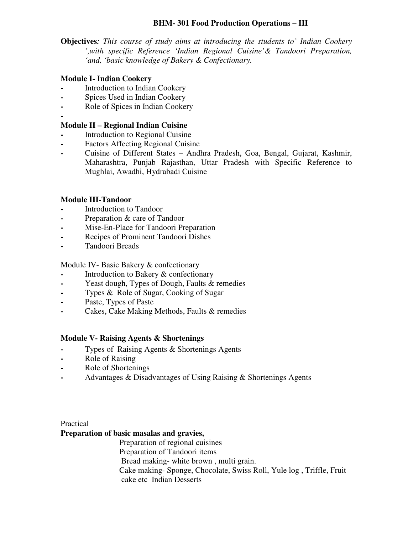## **BHM- 301 Food Production Operations – III**

**Objectives***: This course of study aims at introducing the students to' Indian Cookery ',with specific Reference 'Indian Regional Cuisine'& Tandoori Preparation, 'and, 'basic knowledge of Bakery & Confectionary.*

### **Module I- Indian Cookery**

- **-** Introduction to Indian Cookery
- **-** Spices Used in Indian Cookery
- **-** Role of Spices in Indian Cookery
- **-**

## **Module II – Regional Indian Cuisine**

- **-** Introduction to Regional Cuisine
- **-** Factors Affecting Regional Cuisine
- **-** Cuisine of Different States Andhra Pradesh, Goa, Bengal, Gujarat, Kashmir, Maharashtra, Punjab Rajasthan, Uttar Pradesh with Specific Reference to Mughlai, Awadhi, Hydrabadi Cuisine

## **Module III-Tandoor**

- **-** Introduction to Tandoor
- **-** Preparation & care of Tandoor
- **-** Mise-En-Place for Tandoori Preparation
- **-** Recipes of Prominent Tandoori Dishes
- **-** Tandoori Breads

### Module IV- Basic Bakery & confectionary

- **-** Introduction to Bakery & confectionary
- **-** Yeast dough, Types of Dough, Faults & remedies
- **-** Types & Role of Sugar, Cooking of Sugar
- **-** Paste, Types of Paste
- **-** Cakes, Cake Making Methods, Faults & remedies

### **Module V- Raising Agents & Shortenings**

- **-** Types of Raising Agents & Shortenings Agents
- **-** Role of Raising
- **-** Role of Shortenings
- **-** Advantages & Disadvantages of Using Raising & Shortenings Agents

Practical

### **Preparation of basic masalas and gravies,**

 Preparation of regional cuisines Preparation of Tandoori items Bread making- white brown , multi grain. Cake making- Sponge, Chocolate, Swiss Roll, Yule log , Triffle, Fruit cake etc Indian Desserts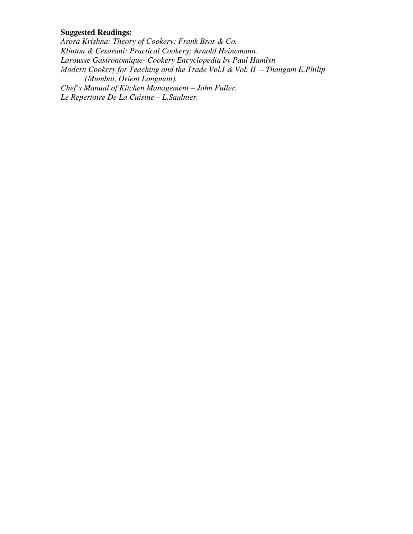# **Suggested Readings:**

*Arora Krishna: Theory of Cookery; Frank Bros & Co. Klinton & Cesarani: Practical Cookery; Arnold Heinemann. Larousse Gastronomique- Cookery Encyclopedia by Paul Hamlyn Modern Cookery for Teaching and the Trade Vol.I & Vol. II – Thangam E.Philip (Mumbai, Orient Longman). Chef's Manual of Kitchen Management – John Fuller. Le Repertoire De La Cuisine – L.Saulnier.*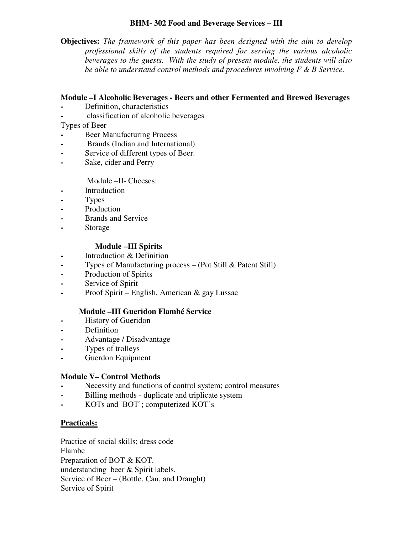## **BHM- 302 Food and Beverage Services – III**

**Objectives:** *The framework of this paper has been designed with the aim to develop professional skills of the students required for serving the various alcoholic beverages to the guests. With the study of present module, the students will also be able to understand control methods and procedures involving F & B Service.* 

## **Module –I Alcoholic Beverages - Beers and other Fermented and Brewed Beverages**

- **-** Definition, characteristics
- **-** classification of alcoholic beverages

## Types of Beer

- **-** Beer Manufacturing Process
- **-** Brands (Indian and International)
- **-** Service of different types of Beer.
- **-** Sake, cider and Perry

### Module –II- Cheeses:

- **-** Introduction
- **-** Types
- **-** Production
- **-** Brands and Service
- **-** Storage

## **Module –III Spirits**

- **-** Introduction & Definition
- **-** Types of Manufacturing process (Pot Still & Patent Still)
- **-** Production of Spirits
- **-** Service of Spirit
- **-** Proof Spirit English, American & gay Lussac

# **Module –III Gueridon Flambé Service**

- **-** History of Gueridon
- **-** Definition
- **-** Advantage / Disadvantage
- **-** Types of trolleys
- **-** Guerdon Equipment

### **Module V– Control Methods**

- **-** Necessity and functions of control system; control measures
- **-** Billing methods duplicate and triplicate system
- **-** KOTs and BOT'; computerized KOT's

### **Practicals:**

Practice of social skills; dress code Flambe Preparation of BOT & KOT. understanding beer & Spirit labels. Service of Beer – (Bottle, Can, and Draught) Service of Spirit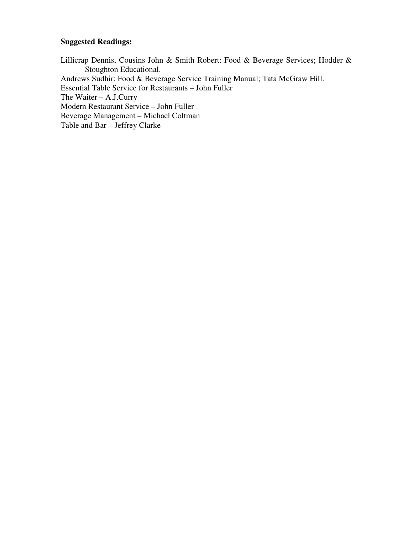# **Suggested Readings:**

Lillicrap Dennis, Cousins John & Smith Robert: Food & Beverage Services; Hodder & Stoughton Educational. Andrews Sudhir: Food & Beverage Service Training Manual; Tata McGraw Hill. Essential Table Service for Restaurants – John Fuller The Waiter – A.J.Curry Modern Restaurant Service – John Fuller Beverage Management – Michael Coltman Table and Bar – Jeffrey Clarke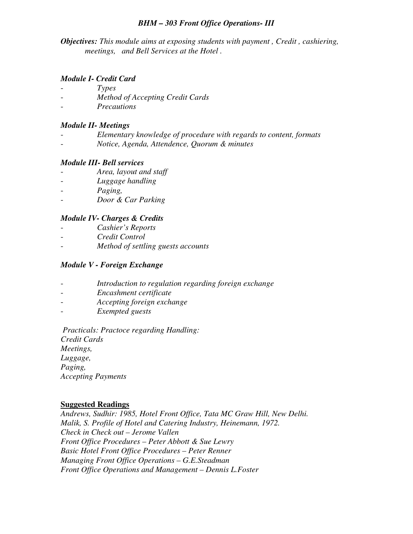### *BHM – 303 Front Office Operations- III*

*Objectives: This module aims at exposing students with payment , Credit , cashiering, meetings, and Bell Services at the Hotel .* 

### *Module I- Credit Card*

- *Types*
- *Method of Accepting Credit Cards*
- *Precautions*

#### *Module II- Meetings*

- *Elementary knowledge of procedure with regards to content, formats*
- *Notice, Agenda, Attendence, Quorum & minutes*

#### *Module III- Bell services*

- *Area, layout and staff*
- *Luggage handling*
- *Paging,*
- *Door & Car Parking*

#### *Module IV- Charges & Credits*

- *Cashier's Reports*
- *Credit Control*
- *Method of settling guests accounts*

### *Module V - Foreign Exchange*

- *Introduction to regulation regarding foreign exchange*
- *Encashment certificate*
- *Accepting foreign exchange*
- *Exempted guests*

 *Practicals: Practoce regarding Handling: Credit Cards Meetings, Luggage, Paging, Accepting Payments* 

#### **Suggested Readings**

*Andrews, Sudhir: 1985, Hotel Front Office, Tata MC Graw Hill, New Delhi. Malik, S. Profile of Hotel and Catering Industry, Heinemann, 1972. Check in Check out – Jerome Vallen Front Office Procedures – Peter Abbott & Sue Lewry Basic Hotel Front Office Procedures – Peter Renner Managing Front Office Operations – G.E.Steadman Front Office Operations and Management – Dennis L.Foster*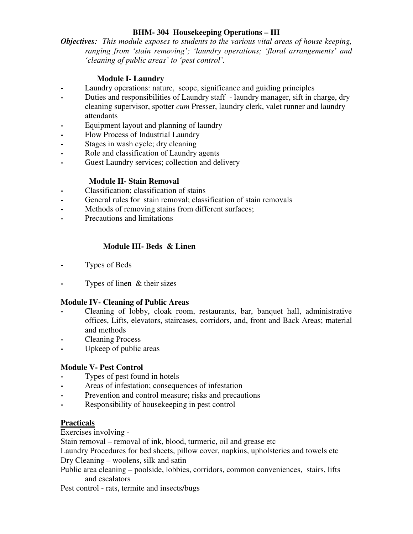# **BHM- 304 Housekeeping Operations – III**

*Objectives: This module exposes to students to the various vital areas of house keeping, ranging from 'stain removing'; 'laundry operations; 'floral arrangements' and 'cleaning of public areas' to 'pest control'.* 

# **Module I- Laundry**

- **-** Laundry operations: nature, scope, significance and guiding principles
- **-** Duties and responsibilities of Laundry staff laundry manager, sift in charge, dry cleaning supervisor, spotter *cum* Presser, laundry clerk, valet runner and laundry attendants
- **-** Equipment layout and planning of laundry
- **-** Flow Process of Industrial Laundry
- **-** Stages in wash cycle; dry cleaning
- **-** Role and classification of Laundry agents
- **-** Guest Laundry services; collection and delivery

# **Module II- Stain Removal**

- **-** Classification; classification of stains
- **-** General rules for stain removal; classification of stain removals
- **-** Methods of removing stains from different surfaces;
- **-** Precautions and limitations

# **Module III- Beds & Linen**

- **-** Types of Beds
- **-** Types of linen & their sizes

#### **Module IV- Cleaning of Public Areas**

- **-** Cleaning of lobby, cloak room, restaurants, bar, banquet hall, administrative offices, Lifts, elevators, staircases, corridors, and, front and Back Areas; material and methods
- **-** Cleaning Process
- **-** Upkeep of public areas

#### **Module V- Pest Control**

- **-** Types of pest found in hotels
- **-** Areas of infestation; consequences of infestation
- **-** Prevention and control measure; risks and precautions
- **-** Responsibility of housekeeping in pest control

#### **Practicals**

Exercises involving -

Stain removal – removal of ink, blood, turmeric, oil and grease etc

Laundry Procedures for bed sheets, pillow cover, napkins, upholsteries and towels etc Dry Cleaning – woolens, silk and satin

Public area cleaning – poolside, lobbies, corridors, common conveniences, stairs, lifts and escalators

Pest control - rats, termite and insects/bugs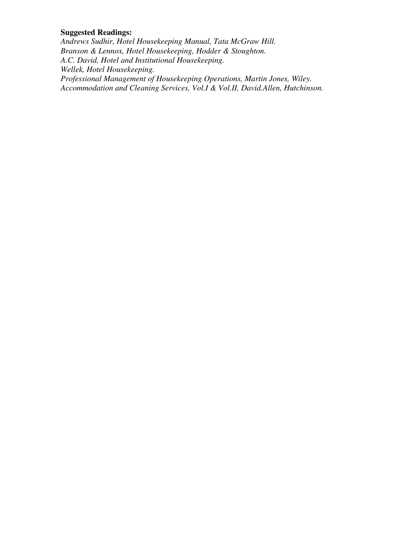# **Suggested Readings:**

*Andrews Sudhir, Hotel Housekeeping Manual, Tata McGraw Hill. Branson & Lennox, Hotel Housekeeping, Hodder & Stoughton. A.C. David, Hotel and Institutional Housekeeping. Wellek, Hotel Housekeeping. Professional Management of Housekeeping Operations, Martin Jones, Wiley. Accommodation and Cleaning Services, Vol.I & Vol.II, David.Allen, Hutchinson.*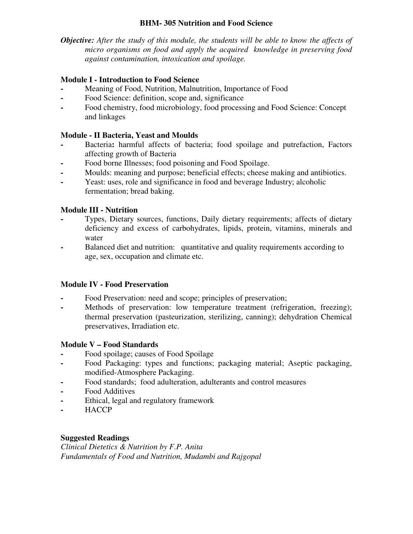# **BHM- 305 Nutrition and Food Science**

*Objective: After the study of this module, the students will be able to know the affects of micro organisms on food and apply the acquired knowledge in preserving food against contamination, intoxication and spoilage.* 

# **Module I - Introduction to Food Science**

- **-** Meaning of Food, Nutrition, Malnutrition, Importance of Food
- **-** Food Science: definition, scope and, significance
- **-** Food chemistry, food microbiology, food processing and Food Science: Concept and linkages

# **Module - II Bacteria, Yeast and Moulds**

- **-** Bacteria**:** harmful affects of bacteria; food spoilage and putrefaction, Factors affecting growth of Bacteria
- **-** Food borne Illnesses; food poisoning and Food Spoilage.
- **-** Moulds: meaning and purpose; beneficial effects; cheese making and antibiotics.
- **-** Yeast: uses, role and significance in food and beverage Industry; alcoholic fermentation; bread baking.

# **Module III - Nutrition**

- **-** Types, Dietary sources, functions, Daily dietary requirements; affects of dietary deficiency and excess of carbohydrates, lipids, protein, vitamins, minerals and water
- **-** Balanced diet and nutrition:quantitative and quality requirements according to age, sex, occupation and climate etc.

# **Module IV - Food Preservation**

- **-** Food Preservation: need and scope; principles of preservation;
- **-** Methods of preservation: low temperature treatment (refrigeration, freezing); thermal preservation (pasteurization, sterilizing, canning); dehydration Chemical preservatives, Irradiation etc.

# **Module V – Food Standards**

- **-** Food spoilage; causes of Food Spoilage
- **-** Food Packaging: types and functions; packaging material; Aseptic packaging, modified-Atmosphere Packaging.
- **-** Food standards; food adulteration, adulterants and control measures
- **-** Food Additives
- **-** Ethical, legal and regulatory framework
- **-** HACCP

# **Suggested Readings**

*Clinical Dietetics & Nutrition by F.P. Anita Fundamentals of Food and Nutrition, Mudambi and Rajgopal*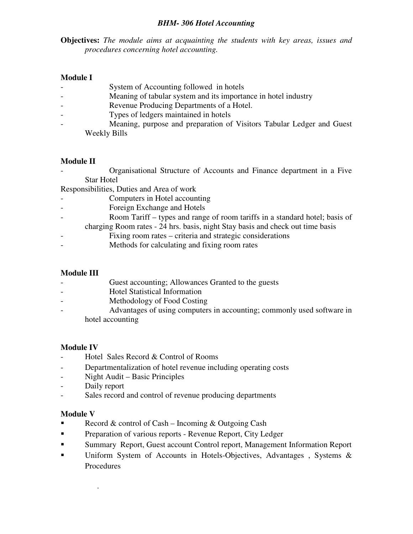#### *BHM- 306 Hotel Accounting*

**Objectives:** *The module aims at acquainting the students with key areas, issues and procedures concerning hotel accounting.* 

# **Module I**

- System of Accounting followed in hotels
- Meaning of tabular system and its importance in hotel industry
- Revenue Producing Departments of a Hotel.
- Types of ledgers maintained in hotels
- Meaning, purpose and preparation of Visitors Tabular Ledger and Guest Weekly Bills

#### **Module II**

- Organisational Structure of Accounts and Finance department in a Five Star Hotel

Responsibilities, Duties and Area of work

- Computers in Hotel accounting
- Foreign Exchange and Hotels
- Room Tariff types and range of room tariffs in a standard hotel; basis of
- charging Room rates 24 hrs. basis, night Stay basis and check out time basis
- Fixing room rates criteria and strategic considerations
- Methods for calculating and fixing room rates

#### **Module III**

- Guest accounting; Allowances Granted to the guests
- Hotel Statistical Information
- Methodology of Food Costing
- Advantages of using computers in accounting; commonly used software in hotel accounting

#### **Module IV**

- Hotel Sales Record & Control of Rooms
- Departmentalization of hotel revenue including operating costs
- Night Audit Basic Principles
- Daily report
- Sales record and control of revenue producing departments

#### **Module V**

.

- Record & control of Cash Incoming & Outgoing Cash
- **Preparation of various reports Revenue Report, City Ledger**
- Summary Report, Guest account Control report, Management Information Report
- Uniform System of Accounts in Hotels-Objectives, Advantages, Systems & Procedures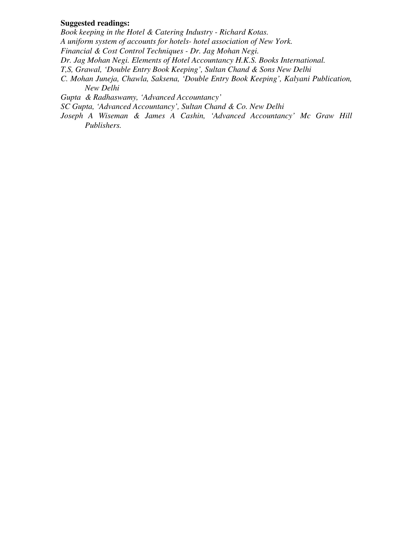#### **Suggested readings:**

*Book keeping in the Hotel & Catering Industry - Richard Kotas. A uniform system of accounts for hotels- hotel association of New York. Financial & Cost Control Techniques - Dr. Jag Mohan Negi. Dr. Jag Mohan Negi. Elements of Hotel Accountancy H.K.S. Books International. T,S, Grawal, 'Double Entry Book Keeping', Sultan Chand & Sons New Delhi C. Mohan Juneja, Chawla, Saksena, 'Double Entry Book Keeping', Kalyani Publication, New Delhi Gupta & Radhaswamy, 'Advanced Accountancy'* 

*SC Gupta, 'Advanced Accountancy', Sultan Chand & Co. New Delhi* 

*Joseph A Wiseman & James A Cashin, 'Advanced Accountancy' Mc Graw Hill Publishers.*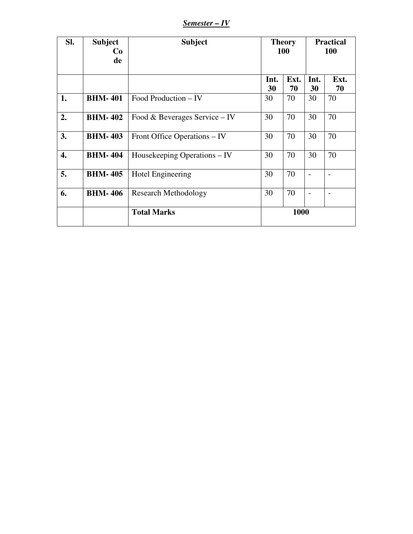*Semester – IV*

| SI. | <b>Subject</b><br>Co<br>de | <b>Subject</b>                | <b>Theory</b><br><b>100</b> |            | <b>Practical</b><br><b>100</b> |            |
|-----|----------------------------|-------------------------------|-----------------------------|------------|--------------------------------|------------|
|     |                            |                               | Int.<br>30                  | Ext.<br>70 | Int.<br>30                     | Ext.<br>70 |
| 1.  | <b>BHM-401</b>             | Food Production – IV          | 30                          | 70         | 30                             | 70         |
| 2.  | <b>BHM-402</b>             | Food & Beverages Service – IV | 30                          | 70         | 30                             | 70         |
| 3.  | <b>BHM-403</b>             | Front Office Operations – IV  | 30                          | 70         | 30                             | 70         |
| 4.  | <b>BHM-404</b>             | Housekeeping Operations – IV  | 30                          | 70         | 30                             | 70         |
| 5.  | <b>BHM-405</b>             | Hotel Engineering             | 30                          | 70         |                                |            |
| 6.  | <b>BHM-406</b>             | <b>Research Methodology</b>   | 30                          | 70         |                                |            |
|     |                            | <b>Total Marks</b>            | 1000                        |            |                                |            |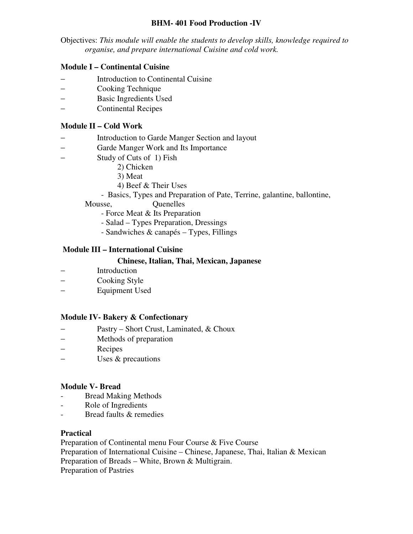## **BHM- 401 Food Production -IV**

Objectives: *This module will enable the students to develop skills, knowledge required to organise, and prepare international Cuisine and cold work.*

# **Module I – Continental Cuisine**

- − Introduction to Continental Cuisine
- − Cooking Technique
- − Basic Ingredients Used
- − Continental Recipes

# **Module II – Cold Work**

- Introduction to Garde Manger Section and layout
- − Garde Manger Work and Its Importance
- − Study of Cuts of 1) Fish
	- 2) Chicken
	- 3) Meat
	- 4) Beef & Their Uses
	- Basics, Types and Preparation of Pate, Terrine, galantine, ballontine,
	- Mousse, Quenelles
		- Force Meat & Its Preparation
		- Salad Types Preparation, Dressings
		- Sandwiches & canapés Types, Fillings

# **Module III – International Cuisine**

#### **Chinese, Italian, Thai, Mexican, Japanese**

- Introduction
- − Cooking Style
- − Equipment Used

#### **Module IV- Bakery & Confectionary**

- − Pastry Short Crust, Laminated, & Choux
- − Methods of preparation
- Recipes
- − Uses & precautions

#### **Module V- Bread**

- Bread Making Methods
- Role of Ingredients
- Bread faults & remedies

#### **Practical**

Preparation of Continental menu Four Course & Five Course

Preparation of International Cuisine – Chinese, Japanese, Thai, Italian & Mexican Preparation of Breads – White, Brown & Multigrain.

Preparation of Pastries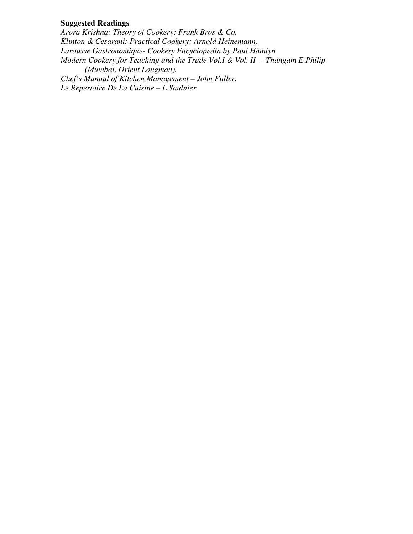# **Suggested Readings**

*Arora Krishna: Theory of Cookery; Frank Bros & Co. Klinton & Cesarani: Practical Cookery; Arnold Heinemann. Larousse Gastronomique- Cookery Encyclopedia by Paul Hamlyn Modern Cookery for Teaching and the Trade Vol.I & Vol. II – Thangam E.Philip (Mumbai, Orient Longman). Chef's Manual of Kitchen Management – John Fuller. Le Repertoire De La Cuisine – L.Saulnier.*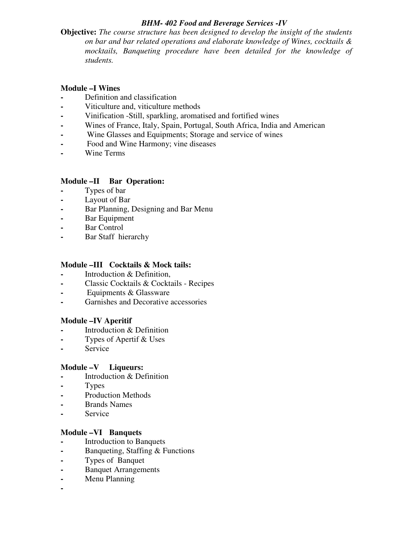# *BHM- 402 Food and Beverage Services -IV*

**Objective:** *The course structure has been designed to develop the insight of the students on bar and bar related operations and elaborate knowledge of Wines, cocktails & mocktails, Banqueting procedure have been detailed for the knowledge of students.* 

# **Module –I Wines**

- **-** Definition and classification
- **-** Viticulture and, viticulture methods
- **-** Vinification -Still, sparkling, aromatised and fortified wines
- **-** Wines of France, Italy, Spain, Portugal, South Africa, India and American
- **-** Wine Glasses and Equipments; Storage and service of wines
- **-** Food and Wine Harmony; vine diseases
- **-** Wine Terms

# **Module –II Bar Operation:**

- **-** Types of bar
- **-** Layout of Bar
- **-** Bar Planning, Designing and Bar Menu
- **-** Bar Equipment
- **-** Bar Control
- **-** Bar Staff hierarchy

#### **Module –III Cocktails & Mock tails:**

- **-** Introduction & Definition,
- **-** Classic Cocktails & Cocktails Recipes
- **-** Equipments & Glassware
- **-** Garnishes and Decorative accessories

# **Module –IV Aperitif**

- **-** Introduction & Definition
- **-** Types of Apertif & Uses
- **-** Service

#### **Module –V Liqueurs:**

- **-** Introduction & Definition
- **-** Types
- **-** Production Methods
- **-** Brands Names
- **-** Service

#### **Module –VI Banquets**

- **-** Introduction to Banquets
- **-** Banqueting, Staffing & Functions
- **-** Types of Banquet
- **-** Banquet Arrangements
- **-** Menu Planning
- **-**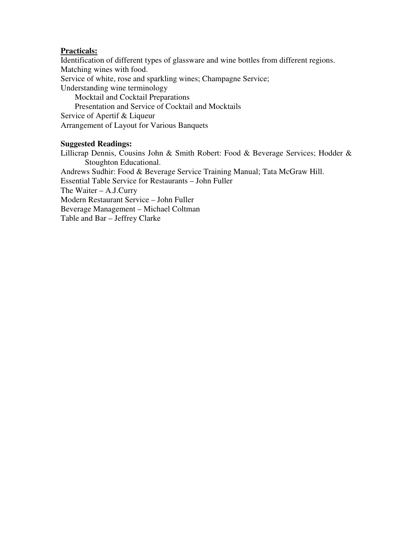#### **Practicals:**

Identification of different types of glassware and wine bottles from different regions. Matching wines with food. Service of white, rose and sparkling wines; Champagne Service; Understanding wine terminology Mocktail and Cocktail Preparations Presentation and Service of Cocktail and Mocktails Service of Apertif & Liqueur Arrangement of Layout for Various Banquets

#### **Suggested Readings:**

Lillicrap Dennis, Cousins John & Smith Robert: Food & Beverage Services; Hodder & Stoughton Educational.

Andrews Sudhir: Food & Beverage Service Training Manual; Tata McGraw Hill.

Essential Table Service for Restaurants – John Fuller

The Waiter – A.J.Curry

Modern Restaurant Service – John Fuller

Beverage Management – Michael Coltman

Table and Bar – Jeffrey Clarke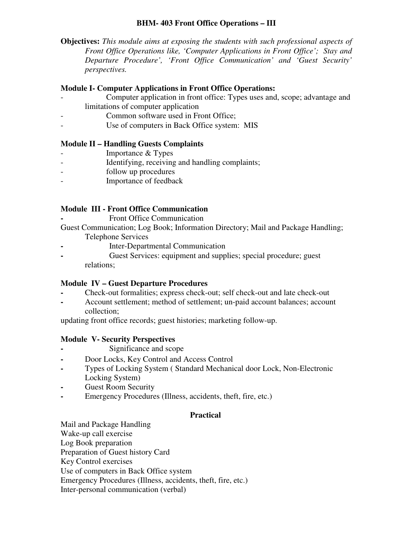# **BHM- 403 Front Office Operations – III**

**Objectives:** *This module aims at exposing the students with such professional aspects of Front Office Operations like, 'Computer Applications in Front Office'; Stay and Departure Procedure', 'Front Office Communication' and 'Guest Security' perspectives.* 

# **Module I- Computer Applications in Front Office Operations:**

- Computer application in front office: Types uses and, scope; advantage and limitations of computer application
- Common software used in Front Office:
- Use of computers in Back Office system: MIS

# **Module II – Handling Guests Complaints**

- Importance & Types
- Identifying, receiving and handling complaints;
- follow up procedures
- Importance of feedback

# **Module III - Front Office Communication**

**-** Front Office Communication

Guest Communication; Log Book; Information Directory; Mail and Package Handling; Telephone Services

- **-** Inter-Departmental Communication
- **-** Guest Services: equipment and supplies; special procedure; guest relations;

#### **Module IV – Guest Departure Procedures**

- **-** Check-out formalities; express check-out; self check-out and late check-out
- **-** Account settlement; method of settlement; un-paid account balances; account collection;

updating front office records; guest histories; marketing follow-up.

# **Module V- Security Perspectives**

- **-** Significance and scope
- **-** Door Locks, Key Control and Access Control
- **-** Types of Locking System ( Standard Mechanical door Lock, Non-Electronic Locking System)
- **-** Guest Room Security
- **-** Emergency Procedures (Illness, accidents, theft, fire, etc.)

# **Practical**

Mail and Package Handling Wake-up call exercise Log Book preparation Preparation of Guest history Card Key Control exercises Use of computers in Back Office system Emergency Procedures (Illness, accidents, theft, fire, etc.) Inter-personal communication (verbal)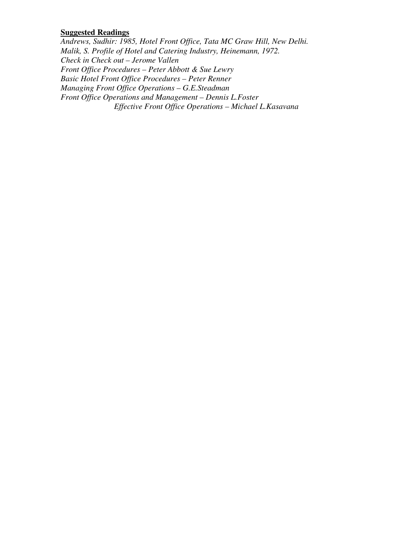#### **Suggested Readings**

*Andrews, Sudhir: 1985, Hotel Front Office, Tata MC Graw Hill, New Delhi. Malik, S. Profile of Hotel and Catering Industry, Heinemann, 1972. Check in Check out – Jerome Vallen Front Office Procedures – Peter Abbott & Sue Lewry Basic Hotel Front Office Procedures – Peter Renner Managing Front Office Operations – G.E.Steadman Front Office Operations and Management – Dennis L.Foster Effective Front Office Operations – Michael L.Kasavana*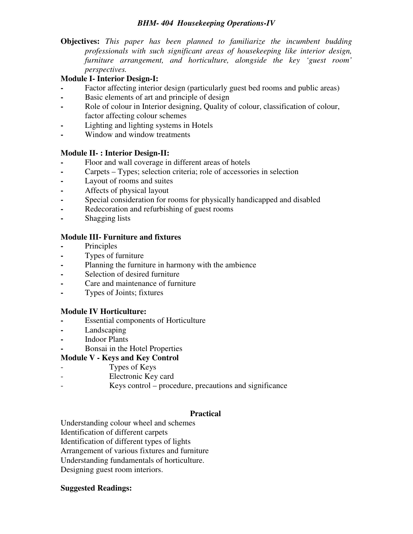## *BHM- 404 Housekeeping Operations-IV*

**Objectives:** *This paper has been planned to familiarize the incumbent budding professionals with such significant areas of housekeeping like interior design, furniture arrangement, and horticulture, alongside the key 'guest room' perspectives.* 

# **Module I- Interior Design-I:**

- **-** Factor affecting interior design (particularly guest bed rooms and public areas)
- **-** Basic elements of art and principle of design
- **-** Role of colour in Interior designing, Quality of colour, classification of colour, factor affecting colour schemes
- **-** Lighting and lighting systems in Hotels
- **-** Window and window treatments

# **Module II- : Interior Design-II:**

- **-** Floor and wall coverage in different areas of hotels
- **-** Carpets Types; selection criteria; role of accessories in selection
- **-** Layout of rooms and suites
- **-** Affects of physical layout
- **-** Special consideration for rooms for physically handicapped and disabled
- **-** Redecoration and refurbishing of guest rooms
- **-** Shagging lists

# **Module III- Furniture and fixtures**

- **-** Principles
- **-** Types of furniture
- **-** Planning the furniture in harmony with the ambience
- **-** Selection of desired furniture
- **-** Care and maintenance of furniture
- **-** Types of Joints; fixtures

#### **Module IV Horticulture:**

- **-** Essential components of Horticulture
- **-** Landscaping
- **-** Indoor Plants
- **-** Bonsai in the Hotel Properties

# **Module V - Keys and Key Control**

- Types of Keys
- Electronic Key card
- Keys control procedure, precautions and significance

#### **Practical**

Understanding colour wheel and schemes Identification of different carpets Identification of different types of lights Arrangement of various fixtures and furniture Understanding fundamentals of horticulture. Designing guest room interiors.

#### **Suggested Readings:**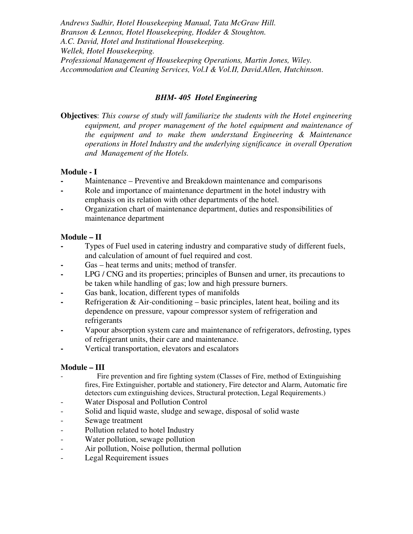*Andrews Sudhir, Hotel Housekeeping Manual, Tata McGraw Hill. Branson & Lennox, Hotel Housekeeping, Hodder & Stoughton. A.C. David, Hotel and Institutional Housekeeping. Wellek, Hotel Housekeeping. Professional Management of Housekeeping Operations, Martin Jones, Wiley. Accommodation and Cleaning Services, Vol.I & Vol.II, David.Allen, Hutchinson*.

# *BHM- 405 Hotel Engineering*

**Objectives**: *This course of study will familiarize the students with the Hotel engineering equipment, and proper management of the hotel equipment and maintenance of the equipment and to make them understand Engineering & Maintenance operations in Hotel Industry and the underlying significance in overall Operation and Management of the Hotels.* 

# **Module - I**

- **-** Maintenance Preventive and Breakdown maintenance and comparisons
- **-** Role and importance of maintenance department in the hotel industry with emphasis on its relation with other departments of the hotel.
- **-** Organization chart of maintenance department, duties and responsibilities of maintenance department

# **Module – II**

- **-** Types of Fuel used in catering industry and comparative study of different fuels, and calculation of amount of fuel required and cost.
- Gas heat terms and units; method of transfer.
- **-** LPG / CNG and its properties; principles of Bunsen and urner, its precautions to be taken while handling of gas; low and high pressure burners.
- **-** Gas bank, location, different types of manifolds
- **-** Refrigeration & Air-conditioning basic principles, latent heat, boiling and its dependence on pressure, vapour compressor system of refrigeration and refrigerants
- **-** Vapour absorption system care and maintenance of refrigerators, defrosting, types of refrigerant units, their care and maintenance.
- **-** Vertical transportation, elevators and escalators

# **Module – III**

- Fire prevention and fire fighting system (Classes of Fire, method of Extinguishing fires, Fire Extinguisher, portable and stationery, Fire detector and Alarm, Automatic fire detectors cum extinguishing devices, Structural protection, Legal Requirements.)
- Water Disposal and Pollution Control
- Solid and liquid waste, sludge and sewage, disposal of solid waste
- Sewage treatment
- Pollution related to hotel Industry
- Water pollution, sewage pollution
- Air pollution, Noise pollution, thermal pollution
- Legal Requirement issues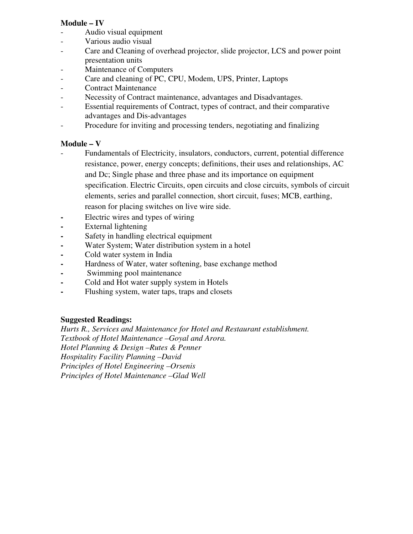# **Module – IV**

- Audio visual equipment
- Various audio visual
- Care and Cleaning of overhead projector, slide projector, LCS and power point presentation units
- Maintenance of Computers
- Care and cleaning of PC, CPU, Modem, UPS, Printer, Laptops
- Contract Maintenance
- Necessity of Contract maintenance, advantages and Disadvantages.
- Essential requirements of Contract, types of contract, and their comparative advantages and Dis-advantages
- Procedure for inviting and processing tenders, negotiating and finalizing

# **Module – V**

- Fundamentals of Electricity, insulators, conductors, current, potential difference resistance, power, energy concepts; definitions, their uses and relationships, AC and Dc; Single phase and three phase and its importance on equipment specification. Electric Circuits, open circuits and close circuits, symbols of circuit elements, series and parallel connection, short circuit, fuses; MCB, earthing, reason for placing switches on live wire side.
- **-** Electric wires and types of wiring
- **-** External lightening
- **-** Safety in handling electrical equipment
- **-** Water System; Water distribution system in a hotel
- **-** Cold water system in India
- **-** Hardness of Water, water softening, base exchange method
- **-** Swimming pool maintenance
- **-** Cold and Hot water supply system in Hotels
- **-** Flushing system, water taps, traps and closets

# **Suggested Readings:**

*Hurts R., Services and Maintenance for Hotel and Restaurant establishment. Textbook of Hotel Maintenance –Goyal and Arora. Hotel Planning & Design –Rutes & Penner Hospitality Facility Planning –David Principles of Hotel Engineering –Orsenis Principles of Hotel Maintenance –Glad Well*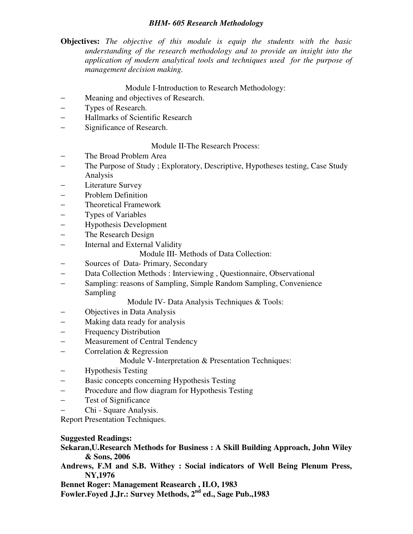#### *BHM- 605 Research Methodology*

**Objectives:** *The objective of this module is equip the students with the basic understanding of the research methodology and to provide an insight into the application of modern analytical tools and techniques used for the purpose of management decision making.* 

#### Module I-Introduction to Research Methodology:

- − Meaning and objectives of Research.
- − Types of Research.
- − Hallmarks of Scientific Research
- − Significance of Research.

Module II-The Research Process:

- The Broad Problem Area
- − The Purpose of Study ; Exploratory, Descriptive, Hypotheses testing, Case Study Analysis
- Literature Survey
- − Problem Definition
- − Theoretical Framework
- − Types of Variables
- − Hypothesis Development
- The Research Design
- − Internal and External Validity
	- Module III- Methods of Data Collection:
- Sources of Data- Primary, Secondary
- − Data Collection Methods : Interviewing , Questionnaire, Observational
- − Sampling: reasons of Sampling, Simple Random Sampling, Convenience Sampling

Module IV- Data Analysis Techniques & Tools:

- − Objectives in Data Analysis
- − Making data ready for analysis
- − Frequency Distribution
- Measurement of Central Tendency
- − Correlation & Regression

Module V-Interpretation & Presentation Techniques:

- − Hypothesis Testing
- Basic concepts concerning Hypothesis Testing
- − Procedure and flow diagram for Hypothesis Testing
- − Test of Significance
- − Chi Square Analysis.

Report Presentation Techniques.

**Suggested Readings:** 

**Sekaran,U.Research Methods for Business : A Skill Building Approach, John Wiley & Sons, 2006** 

**Andrews, F.M and S.B. Withey : Social indicators of Well Being Plenum Press, NY,1976** 

**Bennet Roger: Management Reasearch , ILO, 1983** 

**Fowler.Foyed J.Jr.: Survey Methods, 2nd ed., Sage Pub.,1983**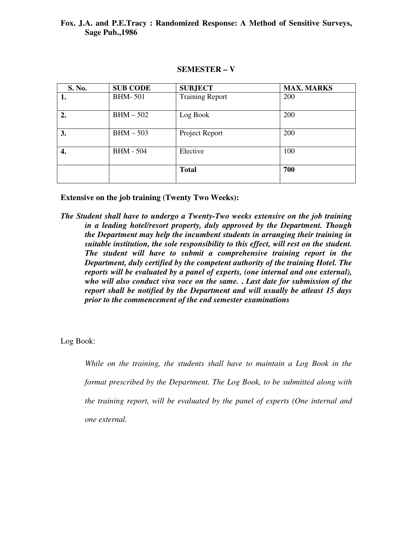#### **Fox. J.A. and P.E.Tracy : Randomized Response: A Method of Sensitive Surveys, Sage Pub.,1986**

#### **SEMESTER – V**

| S. No. | <b>SUB CODE</b>  | <b>SUBJECT</b>         | <b>MAX. MARKS</b> |
|--------|------------------|------------------------|-------------------|
| ı.     | <b>BHM-501</b>   | <b>Training Report</b> | 200               |
| 2.     | $BHM - 502$      | Log Book               | 200               |
| 3.     | $BHM - 503$      | Project Report         | 200               |
| 4.     | <b>BHM - 504</b> | Elective               | 100               |
|        |                  | <b>Total</b>           | 700               |

**Extensive on the job training (Twenty Two Weeks):** 

*The Student shall have to undergo a Twenty-Two weeks extensive on the job training in a leading hotel/resort property, duly approved by the Department. Though the Department may help the incumbent students in arranging their training in suitable institution, the sole responsibility to this effect, will rest on the student. The student will have to submit a comprehensive training report in the Department, duly certified by the competent authority of the training Hotel. The reports will be evaluated by a panel of experts, (one internal and one external), who will also conduct viva voce on the same.* **.** *Last date for submission of the report shall be notified by the Department and will usually be atleast 15 days prior to the commencement of the end semester examinations* 

Log Book:

*While on the training, the students shall have to maintain a Log Book in the format prescribed by the Department. The Log Book, to be submitted along with the training report, will be evaluated by the panel of experts (One internal and one external.*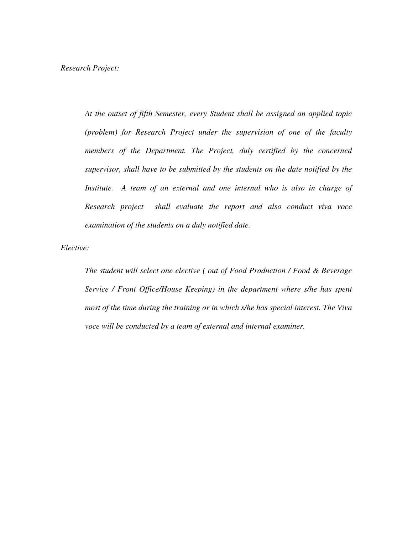*At the outset of fifth Semester, every Student shall be assigned an applied topic (problem) for Research Project under the supervision of one of the faculty members of the Department. The Project, duly certified by the concerned supervisor, shall have to be submitted by the students on the date notified by the Institute.* A team of an external and one internal who is also in charge of *Research project shall evaluate the report and also conduct viva voce examination of the students on a duly notified date.* 

*Elective:* 

*The student will select one elective ( out of Food Production / Food & Beverage Service / Front Office/House Keeping) in the department where s/he has spent most of the time during the training or in which s/he has special interest. The Viva voce will be conducted by a team of external and internal examiner.*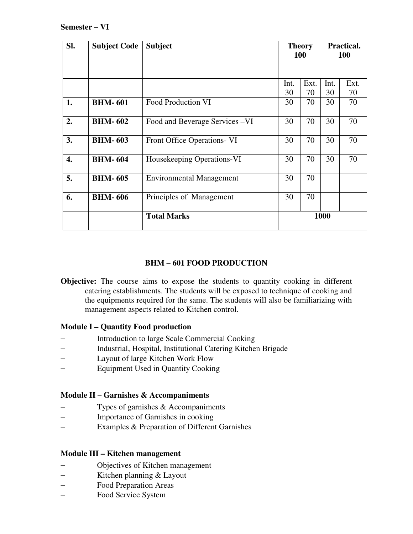| SI. | <b>Subject Code</b> | <b>Subject</b>                     | <b>Theory</b><br>100 |      | <b>Practical.</b><br><b>100</b> |      |
|-----|---------------------|------------------------------------|----------------------|------|---------------------------------|------|
|     |                     |                                    |                      |      |                                 |      |
|     |                     |                                    | Int.                 | Ext. | Int.                            | Ext. |
|     |                     |                                    | 30                   | 70   | 30                              | 70   |
| 1.  | <b>BHM-601</b>      | <b>Food Production VI</b>          | 30                   | 70   | 30                              | 70   |
| 2.  | <b>BHM-602</b>      | Food and Beverage Services – VI    | 30                   | 70   | 30                              | 70   |
| 3.  | <b>BHM-603</b>      | <b>Front Office Operations- VI</b> | 30                   | 70   | 30                              | 70   |
| 4.  | <b>BHM-604</b>      | Housekeeping Operations-VI         | 30                   | 70   | 30                              | 70   |
| 5.  | <b>BHM-605</b>      | <b>Environmental Management</b>    | 30                   | 70   |                                 |      |
| 6.  | <b>BHM-606</b>      | Principles of Management           | 30                   | 70   |                                 |      |
|     |                     | <b>Total Marks</b>                 | 1000                 |      |                                 |      |

# **BHM – 601 FOOD PRODUCTION**

**Objective:** The course aims to expose the students to quantity cooking in different catering establishments. The students will be exposed to technique of cooking and the equipments required for the same. The students will also be familiarizing with management aspects related to Kitchen control.

#### **Module I – Quantity Food production**

- − Introduction to large Scale Commercial Cooking
- − Industrial, Hospital, Institutional Catering Kitchen Brigade
- − Layout of large Kitchen Work Flow
- − Equipment Used in Quantity Cooking

# **Module II – Garnishes & Accompaniments**

- − Types of garnishes & Accompaniments
- − Importance of Garnishes in cooking
- − Examples & Preparation of Different Garnishes

#### **Module III – Kitchen management**

- − Objectives of Kitchen management
- − Kitchen planning & Layout
- − Food Preparation Areas
- − Food Service System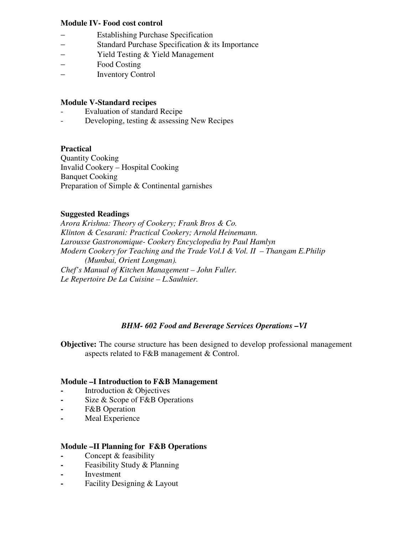## **Module IV- Food cost control**

- − Establishing Purchase Specification
- − Standard Purchase Specification & its Importance
- − Yield Testing & Yield Management
- − Food Costing
- − Inventory Control

## **Module V-Standard recipes**

- Evaluation of standard Recipe
- Developing, testing & assessing New Recipes

#### **Practical**

Quantity Cooking Invalid Cookery – Hospital Cooking Banquet Cooking Preparation of Simple & Continental garnishes

# **Suggested Readings**

*Arora Krishna: Theory of Cookery; Frank Bros & Co. Klinton & Cesarani: Practical Cookery; Arnold Heinemann. Larousse Gastronomique- Cookery Encyclopedia by Paul Hamlyn Modern Cookery for Teaching and the Trade Vol.I & Vol. II – Thangam E.Philip (Mumbai, Orient Longman). Chef's Manual of Kitchen Management – John Fuller. Le Repertoire De La Cuisine – L.Saulnier.* 

# *BHM- 602 Food and Beverage Services Operations –VI*

**Objective:** The course structure has been designed to develop professional management aspects related to F&B management & Control.

#### **Module –I Introduction to F&B Management**

- **-** Introduction & Objectives
- **-** Size & Scope of F&B Operations
- **-** F&B Operation
- **-** Meal Experience

#### **Module –II Planning for F&B Operations**

- **-** Concept & feasibility
- **-** Feasibility Study & Planning
- **-** Investment
- **-** Facility Designing & Layout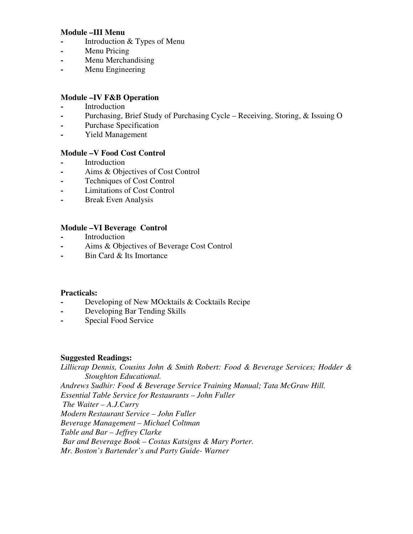#### **Module –III Menu**

- **-** Introduction & Types of Menu
- **-** Menu Pricing
- **-** Menu Merchandising
- **-** Menu Engineering

#### **Module –IV F&B Operation**

- **-** Introduction
- **-** Purchasing, Brief Study of Purchasing Cycle Receiving, Storing, & Issuing O
- **-** Purchase Specification
- **-** Yield Management

#### **Module –V Food Cost Control**

- **-** Introduction
- **-** Aims & Objectives of Cost Control
- **-** Techniques of Cost Control
- **-** Limitations of Cost Control
- **-** Break Even Analysis

#### **Module –VI Beverage Control**

- **-** Introduction
- **-** Aims & Objectives of Beverage Cost Control
- **-** Bin Card & Its Imortance

#### **Practicals:**

- **-** Developing of New MOcktails & Cocktails Recipe
- **-** Developing Bar Tending Skills
- **-** Special Food Service

#### **Suggested Readings:**

*Lillicrap Dennis, Cousins John & Smith Robert: Food & Beverage Services; Hodder & Stoughton Educational. Andrews Sudhir: Food & Beverage Service Training Manual; Tata McGraw Hill. Essential Table Service for Restaurants – John Fuller The Waiter – A.J.Curry Modern Restaurant Service – John Fuller Beverage Management – Michael Coltman Table and Bar – Jeffrey Clarke Bar and Beverage Book – Costas Katsigns & Mary Porter. Mr. Boston's Bartender's and Party Guide- Warner*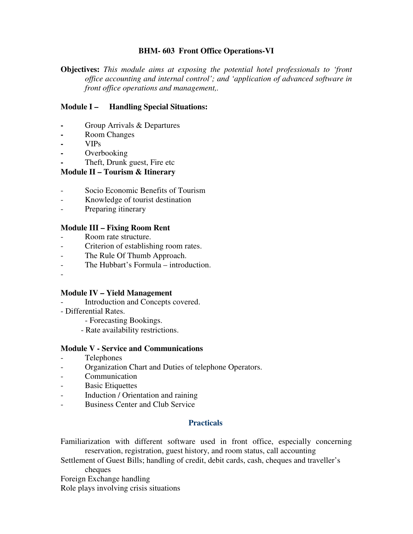## **BHM- 603 Front Office Operations-VI**

**Objectives:** *This module aims at exposing the potential hotel professionals to 'front office accounting and internal control'; and 'application of advanced software in front office operations and management,.* 

## **Module I – Handling Special Situations:**

- **-** Group Arrivals & Departures
- **-** Room Changes
- **-** VIPs
- **-** Overbooking
- **-** Theft, Drunk guest, Fire etc

#### **Module II – Tourism & Itinerary**

- Socio Economic Benefits of Tourism
- Knowledge of tourist destination
- Preparing itinerary

#### **Module III – Fixing Room Rent**

- Room rate structure.
- Criterion of establishing room rates.
- The Rule Of Thumb Approach.
- The Hubbart's Formula introduction.
- -

#### **Module IV – Yield Management**

- Introduction and Concepts covered.
- Differential Rates.
	- Forecasting Bookings.
	- Rate availability restrictions.

#### **Module V - Service and Communications**

- Telephones
- Organization Chart and Duties of telephone Operators.
- Communication
- Basic Etiquettes
- Induction / Orientation and raining
- Business Center and Club Service

#### **Practicals**

Familiarization with different software used in front office, especially concerning reservation, registration, guest history, and room status, call accounting

Settlement of Guest Bills; handling of credit, debit cards, cash, cheques and traveller's cheques

Foreign Exchange handling

Role plays involving crisis situations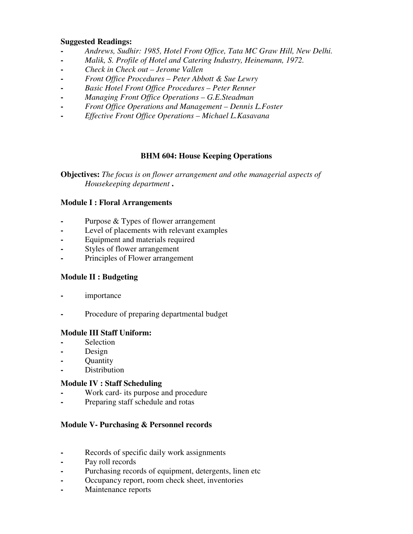#### **Suggested Readings:**

- **-** *Andrews, Sudhir: 1985, Hotel Front Office, Tata MC Graw Hill, New Delhi.*
- **-** *Malik, S. Profile of Hotel and Catering Industry, Heinemann, 1972.*
- **-** *Check in Check out Jerome Vallen*
- **-** *Front Office Procedures Peter Abbott & Sue Lewry*
- **-** *Basic Hotel Front Office Procedures Peter Renner*
- **-** *Managing Front Office Operations G.E.Steadman*
- **-** *Front Office Operations and Management Dennis L.Foster*
- **-** *Effective Front Office Operations Michael L.Kasavana*

# **BHM 604: House Keeping Operations**

**Objectives:** *The focus is on flower arrangement and othe managerial aspects of Housekeeping department* **.** 

# **Module I : Floral Arrangements**

- **-** Purpose & Types of flower arrangement
- **-** Level of placements with relevant examples
- **-** Equipment and materials required
- **-** Styles of flower arrangement
- **-** Principles of Flower arrangement

#### **Module II : Budgeting**

- **-** importance
- **-** Procedure of preparing departmental budget

# **Module III Staff Uniform:**

- **-** Selection
- **-** Design
- **-** Quantity
- **-** Distribution

# **Module IV : Staff Scheduling**

- **-** Work card- its purpose and procedure
- **-** Preparing staff schedule and rotas

# **Module V- Purchasing & Personnel records**

- **-** Records of specific daily work assignments
- **-** Pay roll records
- **-** Purchasing records of equipment, detergents, linen etc
- **-** Occupancy report, room check sheet, inventories
- **-** Maintenance reports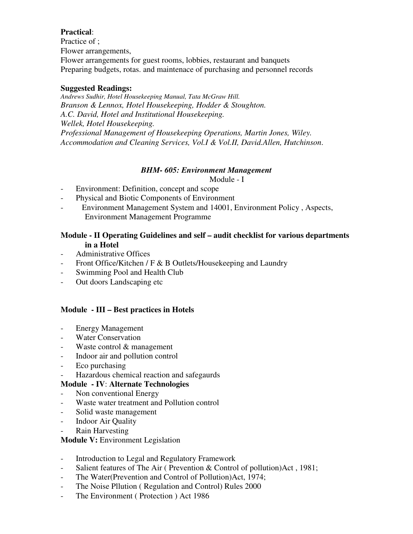# **Practical**:

Practice of ; Flower arrangements, Flower arrangements for guest rooms, lobbies, restaurant and banquets Preparing budgets, rotas. and maintenace of purchasing and personnel records

#### **Suggested Readings:**

*Andrews Sudhir, Hotel Housekeeping Manual, Tata McGraw Hill. Branson & Lennox, Hotel Housekeeping, Hodder & Stoughton. A.C. David, Hotel and Institutional Housekeeping. Wellek, Hotel Housekeeping. Professional Management of Housekeeping Operations, Martin Jones, Wiley. Accommodation and Cleaning Services, Vol.I & Vol.II, David.Allen, Hutchinson*.

# *BHM- 605: Environment Management*

Module - I

- Environment: Definition, concept and scope
- Physical and Biotic Components of Environment
- Environment Management System and 14001, Environment Policy , Aspects, Environment Management Programme

# **Module - II Operating Guidelines and self – audit checklist for various departments in a Hotel**

- Administrative Offices
- Front Office/Kitchen / F & B Outlets/Housekeeping and Laundry
- Swimming Pool and Health Club
- Out doors Landscaping etc

#### **Module - III – Best practices in Hotels**

- Energy Management
- Water Conservation
- Waste control & management
- Indoor air and pollution control
- Eco purchasing
- Hazardous chemical reaction and safegaurds

# **Module - IV**: **Alternate Technologies**

- Non conventional Energy
- Waste water treatment and Pollution control
- Solid waste management
- Indoor Air Quality
- Rain Harvesting

# **Module V:** Environment Legislation

- Introduction to Legal and Regulatory Framework
- Salient features of The Air ( Prevention & Control of pollution)Act , 1981;
- The Water(Prevention and Control of Pollution)Act, 1974;
- The Noise Pllution ( Regulation and Control) Rules 2000
- The Environment ( Protection ) Act 1986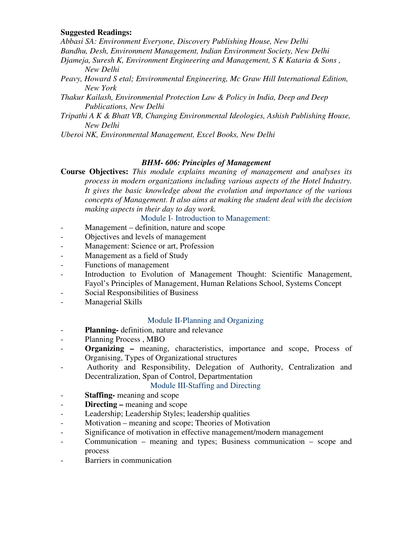#### **Suggested Readings:**

*Abbasi SA: Environment Everyone, Discovery Publishing House, New Delhi* 

- *Bandhu, Desh, Environment Management, Indian Environment Society, New Delhi*
- *Djameja, Suresh K, Environment Engineering and Management, S K Kataria & Sons , New Delhi*
- *Peavy, Howard S etal; Environmental Engineering, Mc Graw Hill International Edition, New York*
- *Thakur Kailash, Environmental Protection Law & Policy in India, Deep and Deep Publications, New Delhi*
- *Tripathi A K & Bhatt VB, Changing Environmental Ideologies, Ashish Publishing House, New Delhi*

*Uberoi NK, Environmental Management, Excel Books, New Delhi* 

#### *BHM- 606: Principles of Management*

**Course Objectives:** *This module explains meaning of management and analyses its process in modern organizations including various aspects of the Hotel Industry. It gives the basic knowledge about the evolution and importance of the various concepts of Management. It also aims at making the student deal with the decision making aspects in their day to day work.* 

Module I- Introduction to Management:

- Management definition, nature and scope
- Objectives and levels of management
- Management: Science or art, Profession
- Management as a field of Study
- Functions of management
- Introduction to Evolution of Management Thought: Scientific Management, Fayol's Principles of Management, Human Relations School, Systems Concept
- Social Responsibilities of Business
- Managerial Skills

#### Module II-Planning and Organizing

- **Planning-** definition, nature and relevance
- Planning Process , MBO
- **Organizing –** meaning, characteristics, importance and scope, Process of Organising, Types of Organizational structures
- Authority and Responsibility, Delegation of Authority, Centralization and Decentralization, Span of Control, Departmentation

#### Module III-Staffing and Directing

- **Staffing-** meaning and scope
- **Directing** meaning and scope
- Leadership; Leadership Styles; leadership qualities
- Motivation meaning and scope; Theories of Motivation
- Significance of motivation in effective management/modern management
- Communication meaning and types; Business communication scope and process
- Barriers in communication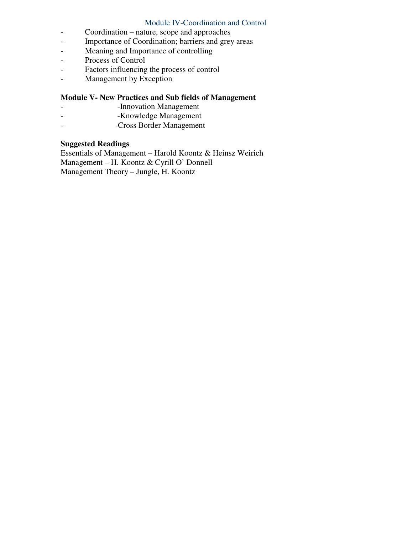# Module IV-Coordination and Control

- Coordination nature, scope and approaches
- Importance of Coordination; barriers and grey areas
- Meaning and Importance of controlling
- Process of Control
- Factors influencing the process of control
- Management by Exception

# **Module V- New Practices and Sub fields of Management**

- **Innovation Management**
- -Knowledge Management
- -Cross Border Management

# **Suggested Readings**

Essentials of Management – Harold Koontz & Heinsz Weirich Management – H. Koontz & Cyrill O' Donnell Management Theory – Jungle, H. Koontz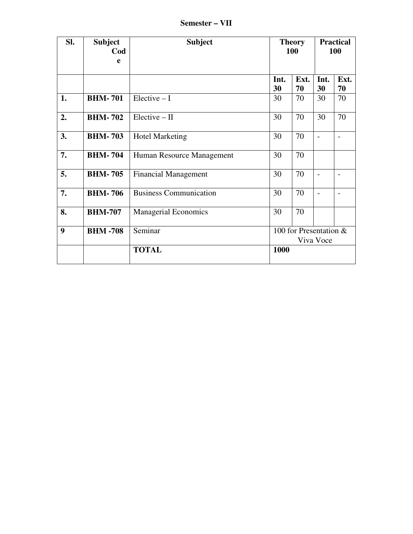**Semester – VII** 

| SI. | <b>Subject</b><br>Cod<br>e | <b>Subject</b>                | <b>Theory</b><br><b>100</b> |                                     | <b>Practical</b><br>100 |                          |  |
|-----|----------------------------|-------------------------------|-----------------------------|-------------------------------------|-------------------------|--------------------------|--|
|     |                            |                               | Int.<br>30                  | Ext.<br>70                          | Int.<br>30              | Ext.<br>70               |  |
| 1.  | <b>BHM-701</b>             | $Electric - I$                | 30                          | 70                                  | 30                      | 70                       |  |
| 2.  | <b>BHM-702</b>             | $Electric - II$               | 30                          | 70                                  | 30                      | 70                       |  |
| 3.  | <b>BHM-703</b>             | <b>Hotel Marketing</b>        | 30                          | 70                                  | $\overline{a}$          | $\overline{\phantom{a}}$ |  |
| 7.  | <b>BHM-704</b>             | Human Resource Management     | 30                          | 70                                  |                         |                          |  |
| 5.  | <b>BHM-705</b>             | <b>Financial Management</b>   | 30                          | 70                                  |                         |                          |  |
| 7.  | <b>BHM-706</b>             | <b>Business Communication</b> | 30                          | 70                                  |                         |                          |  |
| 8.  | <b>BHM-707</b>             | <b>Managerial Economics</b>   | 30                          | 70                                  |                         |                          |  |
| 9   | <b>BHM-708</b>             | Seminar                       |                             | 100 for Presentation &<br>Viva Voce |                         |                          |  |
|     |                            | <b>TOTAL</b>                  | 1000                        |                                     |                         |                          |  |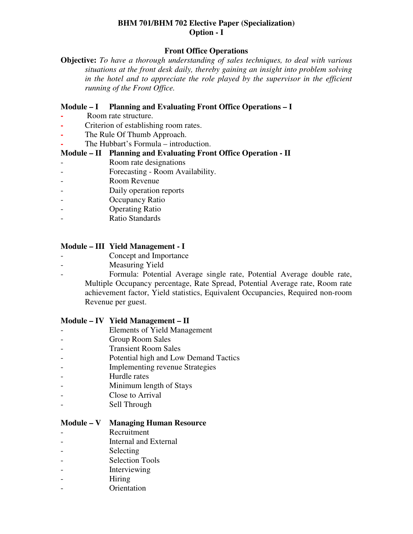# **BHM 701/BHM 702 Elective Paper (Specialization) Option - I**

## **Front Office Operations**

**Objective:** *To have a thorough understanding of sales techniques, to deal with various situations at the front desk daily, thereby gaining an insight into problem solving in the hotel and to appreciate the role played by the supervisor in the efficient running of the Front Office.* 

#### **Module – I Planning and Evaluating Front Office Operations – I**

- **-** Room rate structure.
- **-** Criterion of establishing room rates.
- **-** The Rule Of Thumb Approach.
- **-** The Hubbart's Formula introduction.

#### **Module – II Planning and Evaluating Front Office Operation - II**

- Room rate designations
- Forecasting Room Availability.
- Room Revenue
- Daily operation reports
- Occupancy Ratio
- Operating Ratio
- Ratio Standards

# **Module – III Yield Management - I**

- Concept and Importance
- Measuring Yield
- Formula: Potential Average single rate, Potential Average double rate, Multiple Occupancy percentage, Rate Spread, Potential Average rate, Room rate achievement factor, Yield statistics, Equivalent Occupancies, Required non-room Revenue per guest.

#### **Module – IV Yield Management – II**

- Elements of Yield Management
- Group Room Sales
- Transient Room Sales
- Potential high and Low Demand Tactics
- Implementing revenue Strategies
- Hurdle rates
- Minimum length of Stays
- Close to Arrival
- Sell Through

#### **Module – V Managing Human Resource**

- Recruitment
- Internal and External
- Selecting
- Selection Tools
- **Interviewing**
- Hiring
- Orientation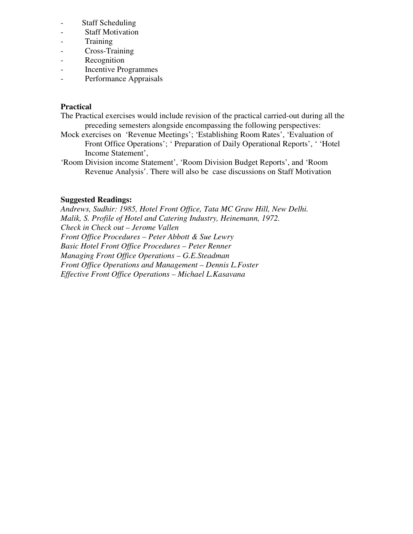- Staff Scheduling
- Staff Motivation
- Training
- Cross-Training
- Recognition
- Incentive Programmes
- Performance Appraisals

## **Practical**

- The Practical exercises would include revision of the practical carried-out during all the preceding semesters alongside encompassing the following perspectives:
- Mock exercises on 'Revenue Meetings'; 'Establishing Room Rates', 'Evaluation of Front Office Operations'; ' Preparation of Daily Operational Reports', ' 'Hotel Income Statement',
- 'Room Division income Statement', 'Room Division Budget Reports', and 'Room Revenue Analysis'. There will also be case discussions on Staff Motivation

#### **Suggested Readings:**

*Andrews, Sudhir: 1985, Hotel Front Office, Tata MC Graw Hill, New Delhi. Malik, S. Profile of Hotel and Catering Industry, Heinemann, 1972. Check in Check out – Jerome Vallen Front Office Procedures – Peter Abbott & Sue Lewry Basic Hotel Front Office Procedures – Peter Renner Managing Front Office Operations – G.E.Steadman Front Office Operations and Management – Dennis L.Foster Effective Front Office Operations – Michael L.Kasavana*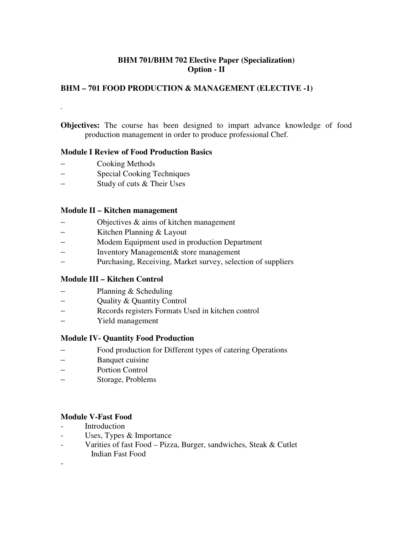# **BHM 701/BHM 702 Elective Paper (Specialization) Option - II**

# **BHM – 701 FOOD PRODUCTION & MANAGEMENT (ELECTIVE -1)**

**Objectives:** The course has been designed to impart advance knowledge of food production management in order to produce professional Chef.

#### **Module I Review of Food Production Basics**

− Cooking Methods

*.* 

- − Special Cooking Techniques
- − Study of cuts & Their Uses

#### **Module II – Kitchen management**

- − Objectives & aims of kitchen management
- − Kitchen Planning & Layout
- Modem Equipment used in production Department
- − Inventory Management& store management
- − Purchasing, Receiving, Market survey, selection of suppliers

#### **Module III – Kitchen Control**

- − Planning & Scheduling
- − Quality & Quantity Control
- − Records registers Formats Used in kitchen control
- − Yield management

#### **Module IV- Quantity Food Production**

- − Food production for Different types of catering Operations
- Banquet cuisine
- − Portion Control
- − Storage, Problems

#### **Module V-Fast Food**

- Introduction
- Uses, Types & Importance
- Varities of fast Food Pizza, Burger, sandwiches, Steak & Cutlet Indian Fast Food
- -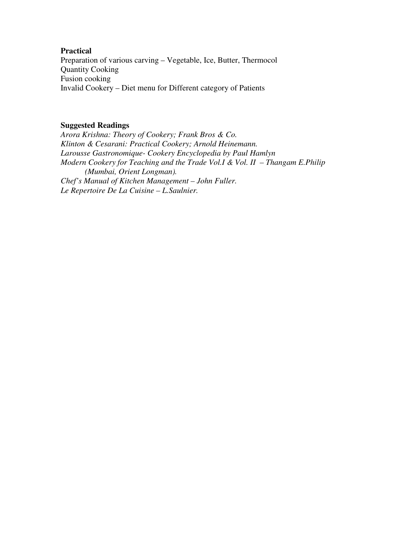#### **Practical**

Preparation of various carving – Vegetable, Ice, Butter, Thermocol Quantity Cooking Fusion cooking Invalid Cookery – Diet menu for Different category of Patients

#### **Suggested Readings**

*Arora Krishna: Theory of Cookery; Frank Bros & Co. Klinton & Cesarani: Practical Cookery; Arnold Heinemann. Larousse Gastronomique- Cookery Encyclopedia by Paul Hamlyn Modern Cookery for Teaching and the Trade Vol.I & Vol. II – Thangam E.Philip (Mumbai, Orient Longman). Chef's Manual of Kitchen Management – John Fuller. Le Repertoire De La Cuisine – L.Saulnier.*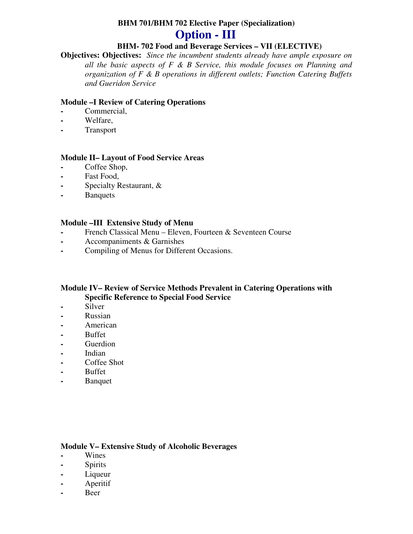# **BHM 701/BHM 702 Elective Paper (Specialization)**

# **Option - III**

# **BHM- 702 Food and Beverage Services – VII (ELECTIVE)**

**Objectives: Objectives:** *Since the incumbent students already have ample exposure on all the basic aspects of F & B Service, this module focuses on Planning and organization of F & B operations in different outlets; Function Catering Buffets and Gueridon Service* 

## **Module –I Review of Catering Operations**

- **-** Commercial,
- **-** Welfare,
- **-** Transport

# **Module II– Layout of Food Service Areas**

- **-** Coffee Shop,
- **-** Fast Food,
- **-** Specialty Restaurant, &
- **-** Banquets

# **Module –III Extensive Study of Menu**

- **-** French Classical Menu Eleven, Fourteen & Seventeen Course
- **-** Accompaniments & Garnishes
- **-** Compiling of Menus for Different Occasions.

#### **Module IV– Review of Service Methods Prevalent in Catering Operations with Specific Reference to Special Food Service**

- **-** Silver
- **-** Russian
- **-** American
- **-** Buffet
- **-** Guerdion
- **-** Indian
- **-** Coffee Shot
- **-** Buffet
- **-** Banquet

#### **Module V– Extensive Study of Alcoholic Beverages**

- **-** Wines
- **-** Spirits
- **-** Liqueur
- **-** Aperitif
- **-** Beer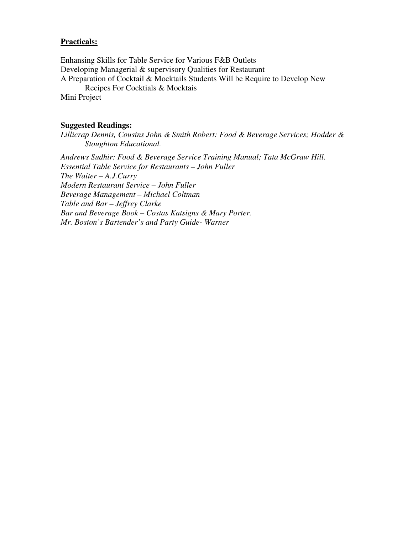#### **Practicals:**

Enhansing Skills for Table Service for Various F&B Outlets Developing Managerial & supervisory Qualities for Restaurant A Preparation of Cocktail & Mocktails Students Will be Require to Develop New Recipes For Cocktials & Mocktais Mini Project

#### **Suggested Readings:**

*Lillicrap Dennis, Cousins John & Smith Robert: Food & Beverage Services; Hodder & Stoughton Educational.* 

*Andrews Sudhir: Food & Beverage Service Training Manual; Tata McGraw Hill. Essential Table Service for Restaurants – John Fuller The Waiter – A.J.Curry Modern Restaurant Service – John Fuller Beverage Management – Michael Coltman Table and Bar – Jeffrey Clarke Bar and Beverage Book – Costas Katsigns & Mary Porter. Mr. Boston's Bartender's and Party Guide- Warner*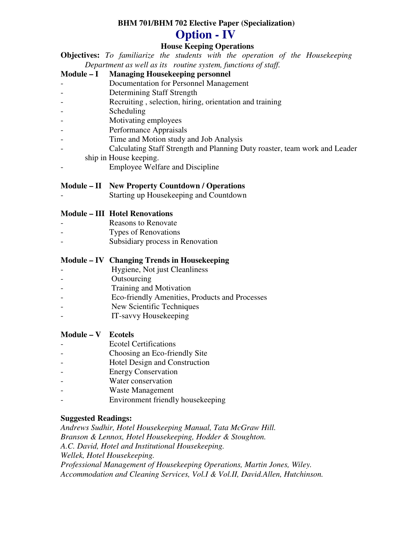# **BHM 701/BHM 702 Elective Paper (Specialization)**

# **Option - IV**

# **House Keeping Operations**

**Objectives:** *To familiarize the students with the operation of the Housekeeping Department as well as its routine system, functions of staff.* 

**Module – I Managing Housekeeping personnel** 

- Documentation for Personnel Management
- Determining Staff Strength
- Recruiting , selection, hiring, orientation and training
- Scheduling
- Motivating employees
- Performance Appraisals
- Time and Motion study and Job Analysis
- Calculating Staff Strength and Planning Duty roaster, team work and Leader
	- ship in House keeping.
- Employee Welfare and Discipline

# **Module – II New Property Countdown / Operations**

Starting up Housekeeping and Countdown

# **Module – III Hotel Renovations**

- Reasons to Renovate
- Types of Renovations
- Subsidiary process in Renovation

# **Module – IV Changing Trends in Housekeeping**

- Hygiene, Not just Cleanliness
- Outsourcing
- Training and Motivation
- Eco-friendly Amenities, Products and Processes
- New Scientific Techniques
- IT-savvy Housekeeping

# **Module – V Ecotels**

- Ecotel Certifications
- Choosing an Eco-friendly Site
- Hotel Design and Construction
- **Energy Conservation**
- Water conservation
- Waste Management
- Environment friendly housekeeping

# **Suggested Readings:**

*Andrews Sudhir, Hotel Housekeeping Manual, Tata McGraw Hill. Branson & Lennox, Hotel Housekeeping, Hodder & Stoughton. A.C. David, Hotel and Institutional Housekeeping. Wellek, Hotel Housekeeping. Professional Management of Housekeeping Operations, Martin Jones, Wiley. Accommodation and Cleaning Services, Vol.I & Vol.II, David.Allen, Hutchinson.*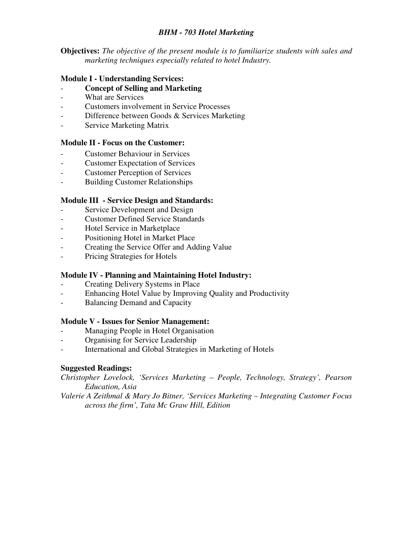# *BHM - 703 Hotel Marketing*

**Objectives:** *The objective of the present module is to familiarize students with sales and marketing techniques especially related to hotel Industry.* 

#### **Module I - Understanding Services:**

- **Concept of Selling and Marketing**
- What are Services
- Customers involvement in Service Processes
- Difference between Goods & Services Marketing
- Service Marketing Matrix

#### **Module II - Focus on the Customer:**

- Customer Behaviour in Services
- **Customer Expectation of Services**
- Customer Perception of Services
- Building Customer Relationships

#### **Module III - Service Design and Standards:**

- Service Development and Design
- Customer Defined Service Standards
- Hotel Service in Marketplace
- Positioning Hotel in Market Place
- Creating the Service Offer and Adding Value
- Pricing Strategies for Hotels

#### **Module IV - Planning and Maintaining Hotel Industry:**

- Creating Delivery Systems in Place
- Enhancing Hotel Value by Improving Quality and Productivity
- Balancing Demand and Capacity

#### **Module V - Issues for Senior Management:**

- Managing People in Hotel Organisation
- Organising for Service Leadership
- International and Global Strategies in Marketing of Hotels

#### **Suggested Readings:**

*Christopher Lovelock, 'Services Marketing – People, Technology, Strategy', Pearson Education, Asia* 

*Valerie A Zeithmal & Mary Jo Bitner, 'Services Marketing – Integrating Customer Focus across the firm', Tata Mc Graw Hill, Edition*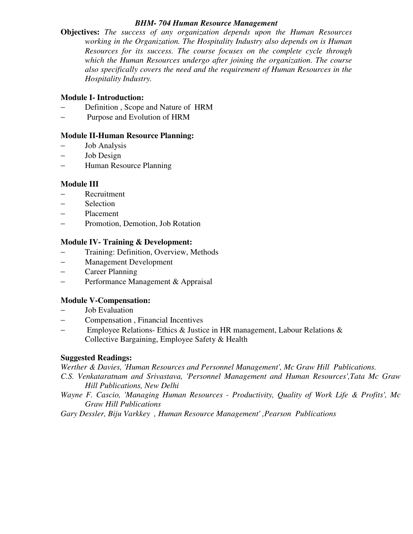#### *BHM- 704 Human Resource Management*

**Objectives:** *The success of any organization depends upon the Human Resources working in the Organization. The Hospitality Industry also depends on is Human Resources for its success. The course focuses on the complete cycle through which the Human Resources undergo after joining the organization. The course also specifically covers the need and the requirement of Human Resources in the Hospitality Industry.* 

# **Module I- Introduction:**

- Definition, Scope and Nature of HRM
- Purpose and Evolution of HRM

# **Module II-Human Resource Planning:**

- Job Analysis
- − Job Design
- − Human Resource Planning

# **Module III**

- − Recruitment
- − Selection
- − Placement
- − Promotion, Demotion, Job Rotation

#### **Module IV- Training & Development:**

- Training: Definition, Overview, Methods
- − Management Development
- − Career Planning
- − Performance Management & Appraisal

# **Module V-Compensation:**

- Job Evaluation
- − Compensation , Financial Incentives
- − Employee Relations- Ethics & Justice in HR management, Labour Relations & Collective Bargaining, Employee Safety & Health

# **Suggested Readings:**

*Werther & Davies, 'Human Resources and Personnel Management', Mc Graw Hill Publications.* 

- *C.S. Venkataratnam and Srivastava, 'Personnel Management and Human Resources',Tata Mc Graw Hill Publications, New Delhi*
- *Wayne F. Cascio, 'Managing Human Resources Productivity, Quality of Work Life & Profits', Mc Graw Hill Publications*
- *Gary Dessler, Biju Varkkey , Human Resource Management' ,Pearson Publications*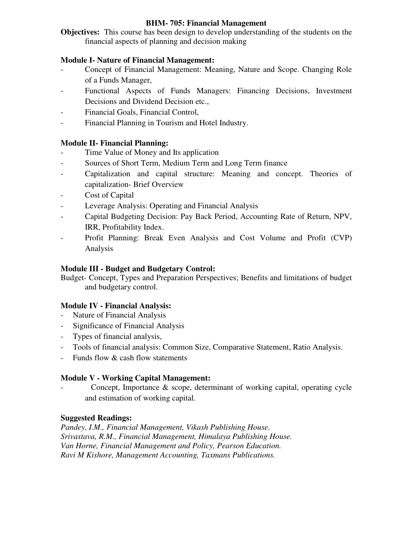#### **BHM- 705: Financial Management**

**Objectives:** This course has been design to develop understanding of the students on the financial aspects of planning and decision making

# **Module I- Nature of Financial Management:**

- Concept of Financial Management: Meaning, Nature and Scope. Changing Role of a Funds Manager,
- Functional Aspects of Funds Managers: Financing Decisions, Investment Decisions and Dividend Decision etc.,
- Financial Goals, Financial Control,
- Financial Planning in Tourism and Hotel Industry.

# **Module II- Financial Planning:**

- Time Value of Money and Its application
- Sources of Short Term, Medium Term and Long Term finance
- Capitalization and capital structure: Meaning and concept. Theories of capitalization- Brief Overview
- Cost of Capital
- Leverage Analysis: Operating and Financial Analysis
- Capital Budgeting Decision: Pay Back Period, Accounting Rate of Return, NPV, IRR, Profitability Index.
- Profit Planning: Break Even Analysis and Cost Volume and Profit (CVP) Analysis

### **Module III - Budget and Budgetary Control:**

Budget- Concept, Types and Preparation Perspectives; Benefits and limitations of budget and budgetary control.

# **Module IV - Financial Analysis:**

- Nature of Financial Analysis
- Significance of Financial Analysis
- Types of financial analysis,
- Tools of financial analysis: Common Size, Comparative Statement, Ratio Analysis.
- Funds flow & cash flow statements

# **Module V - Working Capital Management:**

Concept, Importance  $\&$  scope, determinant of working capital, operating cycle and estimation of working capital.

# **Suggested Readings:**

*Pandey, I.M., Financial Management, Vikash Publishing House. Srivastava, R.M., Financial Management, Himalaya Publishing House. Van Horne, Financial Management and Policy, Pearson Education. Ravi M Kishore, Management Accounting, Taxmans Publications.*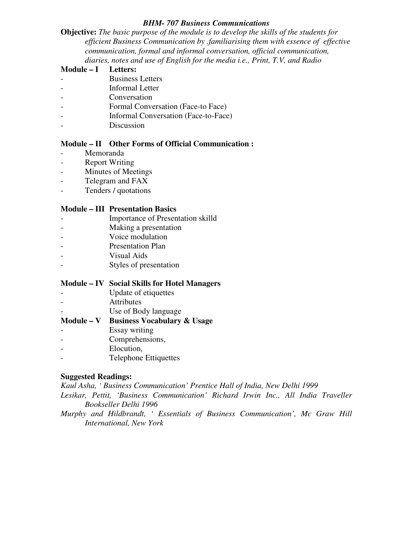#### *BHM- 707 Business Communications*

**Objective:** *The basic purpose of the module is to develop the skills of the students for efficient Business Communication by .familiarising them with essence of effective communication, formal and informal conversation, official communication, diaries, notes and use of English for the media i.e., Print, T.V, and Radio* 

### **Module – I Letters:**

- Business Letters
- Informal Letter
- Conversation
- Formal Conversation (Face-to Face)
- Informal Conversation (Face-to-Face)
- Discussion

#### **Module – II Other Forms of Official Communication :**

- Memoranda
- Report Writing
- Minutes of Meetings
- Telegram and FAX
- Tenders / quotations

#### **Module – III Presentation Basics**

- Importance of Presentation skilld
- Making a presentation
- Voice modulation
- Presentation Plan
- Visual Aids
- Styles of presentation

#### **Module – IV Social Skills for Hotel Managers**

- Update of etiquettes
- Attributes
- Use of Body language

# **Module – V Business Vocabulary & Usage**

- Essay writing
- Comprehensions,
- Elocution,
- Telephone Ettiquettes

# **Suggested Readings:**

*Kaul Asha, ' Business Communication' Prentice Hall of India, New Delhi 1999 Lesikar, Pettit, 'Business Communication' Richard Irwin Inc., All India Traveller* 

*Bookseller Delhi 1996* 

*Murphy and Hildbrandt, ' Essentials of Business Communication', Mc Graw Hill International, New York*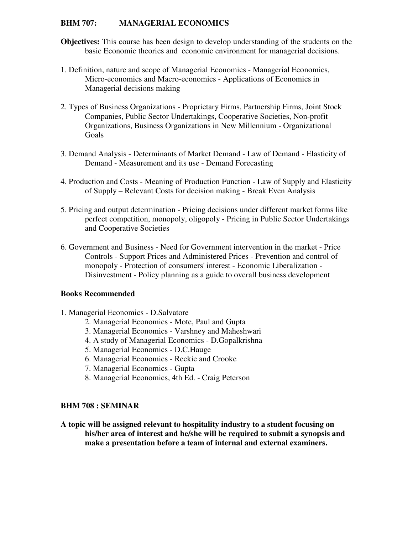#### **BHM 707: MANAGERIAL ECONOMICS**

- **Objectives:** This course has been design to develop understanding of the students on the basic Economic theories and economic environment for managerial decisions.
- 1. Definition, nature and scope of Managerial Economics Managerial Economics, Micro-economics and Macro-economics - Applications of Economics in Managerial decisions making
- 2. Types of Business Organizations Proprietary Firms, Partnership Firms, Joint Stock Companies, Public Sector Undertakings, Cooperative Societies, Non-profit Organizations, Business Organizations in New Millennium - Organizational Goals
- 3. Demand Analysis Determinants of Market Demand Law of Demand Elasticity of Demand - Measurement and its use - Demand Forecasting
- 4. Production and Costs Meaning of Production Function Law of Supply and Elasticity of Supply – Relevant Costs for decision making - Break Even Analysis
- 5. Pricing and output determination Pricing decisions under different market forms like perfect competition, monopoly, oligopoly - Pricing in Public Sector Undertakings and Cooperative Societies
- 6. Government and Business Need for Government intervention in the market Price Controls - Support Prices and Administered Prices - Prevention and control of monopoly - Protection of consumers' interest - Economic Liberalization - Disinvestment - Policy planning as a guide to overall business development

#### **Books Recommended**

- 1. Managerial Economics D.Salvatore
	- 2. Managerial Economics Mote, Paul and Gupta
	- 3. Managerial Economics Varshney and Maheshwari
	- 4. A study of Managerial Economics D.Gopalkrishna
	- 5. Managerial Economics D.C.Hauge
	- 6. Managerial Economics Reckie and Crooke
	- 7. Managerial Economics Gupta
	- 8. Managerial Economics, 4th Ed. Craig Peterson

#### **BHM 708 : SEMINAR**

**A topic will be assigned relevant to hospitality industry to a student focusing on his/her area of interest and he/she will be required to submit a synopsis and make a presentation before a team of internal and external examiners.**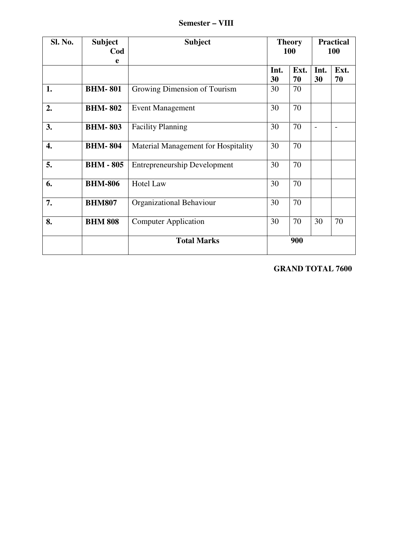**Semester – VIII** 

| Sl. No. | <b>Subject</b><br>Cod<br>e | <b>Subject</b>                      |            | <b>Theory</b><br><b>100</b> |            | <b>Practical</b><br>100 |  |
|---------|----------------------------|-------------------------------------|------------|-----------------------------|------------|-------------------------|--|
|         |                            |                                     | Int.<br>30 | Ext.<br>70                  | Int.<br>30 | Ext.<br>70              |  |
| 1.      | <b>BHM-801</b>             | Growing Dimension of Tourism        | 30         | 70                          |            |                         |  |
| 2.      | <b>BHM-802</b>             | <b>Event Management</b>             | 30         | 70                          |            |                         |  |
| 3.      | <b>BHM-803</b>             | <b>Facility Planning</b>            | 30         | 70                          |            |                         |  |
| 4.      | <b>BHM-804</b>             | Material Management for Hospitality | 30         | 70                          |            |                         |  |
| 5.      | <b>BHM - 805</b>           | <b>Entrepreneurship Development</b> | 30         | 70                          |            |                         |  |
| 6.      | <b>BHM-806</b>             | <b>Hotel Law</b>                    | 30         | 70                          |            |                         |  |
| 7.      | <b>BHM807</b>              | Organizational Behaviour            | 30         | 70                          |            |                         |  |
| 8.      | <b>BHM 808</b>             | <b>Computer Application</b>         | 30         | 70                          | 30         | 70                      |  |
|         |                            | <b>Total Marks</b>                  |            | 900                         |            |                         |  |

**GRAND TOTAL 7600**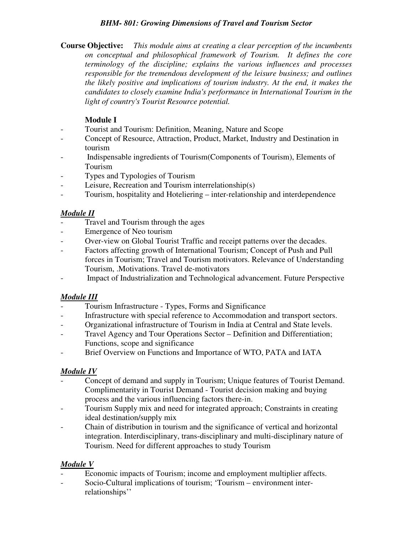### *BHM- 801: Growing Dimensions of Travel and Tourism Sector*

**Course Objective:** *This module aims at creating a clear perception of the incumbents on conceptual and philosophical framework of Tourism. It defines the core terminology of the discipline; explains the various influences and processes responsible for the tremendous development of the leisure business; and outlines the likely positive and implications of tourism industry. At the end, it makes the candidates to closely examine India's performance in International Tourism in the light of country's Tourist Resource potential.* 

# **Module I**

- Tourist and Tourism: Definition, Meaning, Nature and Scope
- Concept of Resource, Attraction, Product, Market, Industry and Destination in tourism
- Indispensable ingredients of Tourism(Components of Tourism), Elements of Tourism
- Types and Typologies of Tourism
- Leisure, Recreation and Tourism interrelationship(s)
- Tourism, hospitality and Hoteliering inter-relationship and interdependence

# *Module II*

- Travel and Tourism through the ages
- Emergence of Neo tourism
- Over-view on Global Tourist Traffic and receipt patterns over the decades.
- Factors affecting growth of International Tourism; Concept of Push and Pull forces in Tourism; Travel and Tourism motivators. Relevance of Understanding Tourism, .Motivations. Travel de-motivators
- Impact of Industrialization and Technological advancement. Future Perspective

# *Module III*

- Tourism Infrastructure Types, Forms and Significance
- Infrastructure with special reference to Accommodation and transport sectors.
- Organizational infrastructure of Tourism in India at Central and State levels.
- Travel Agency and Tour Operations Sector Definition and Differentiation; Functions, scope and significance
- Brief Overview on Functions and Importance of WTO, PATA and IATA

# *Module IV*

- Concept of demand and supply in Tourism; Unique features of Tourist Demand. Complimentarity in Tourist Demand - Tourist decision making and buying process and the various influencing factors there-in.
- Tourism Supply mix and need for integrated approach; Constraints in creating ideal destination/supply mix
- Chain of distribution in tourism and the significance of vertical and horizontal integration. Interdisciplinary, trans-disciplinary and multi-disciplinary nature of Tourism. Need for different approaches to study Tourism

# *Module V*

- Economic impacts of Tourism; income and employment multiplier affects.
- Socio-Cultural implications of tourism; 'Tourism environment interrelationships''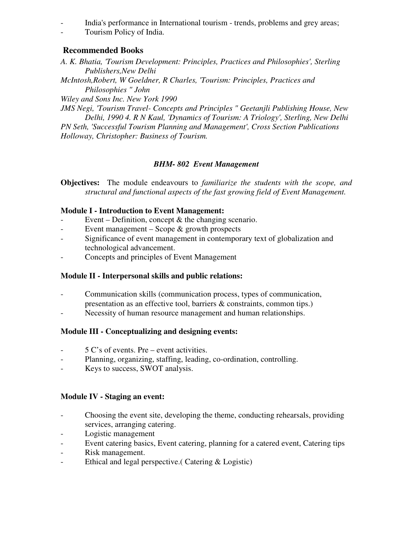- India's performance in International tourism - trends, problems and grey areas;

- Tourism Policy of India.

# **Recommended Books**

*A. K. Bhatia, 'Tourism Development: Principles, Practices and Philosophies', Sterling Publishers,New Delhi* 

*McIntosh,Robert, W Goeldner, R Charles, 'Tourism: Principles, Practices and Philosophies " John* 

*Wiley and Sons Inc. New York 1990* 

*JMS Negi, 'Tourism Travel- Concepts and Principles " Geetanjli Publishing House, New Delhi, 1990 4. R N Kaul, 'Dynamics of Tourism: A Triology', Sterling, New Delhi PN Seth, 'Successful Tourism Planning and Management', Cross Section Publications Holloway, Christopher: Business of Tourism.* 

# *BHM- 802 Event Management*

**Objectives:** The module endeavours to *familiarize the students with the scope, and structural and functional aspects of the fast growing field of Event Management.* 

# **Module I - Introduction to Event Management:**

- Event Definition, concept  $\&$  the changing scenario.
- Event management Scope & growth prospects
- Significance of event management in contemporary text of globalization and technological advancement.
- Concepts and principles of Event Management

# **Module II - Interpersonal skills and public relations:**

- Communication skills (communication process, types of communication, presentation as an effective tool, barriers & constraints, common tips.)
- Necessity of human resource management and human relationships.

# **Module III - Conceptualizing and designing events:**

- 5 C's of events. Pre event activities.
- Planning, organizing, staffing, leading, co-ordination, controlling.
- Keys to success, SWOT analysis.

# **Module IV - Staging an event:**

- Choosing the event site, developing the theme, conducting rehearsals, providing services, arranging catering.
- Logistic management
- Event catering basics, Event catering, planning for a catered event, Catering tips
- Risk management.
- Ethical and legal perspective.( Catering & Logistic)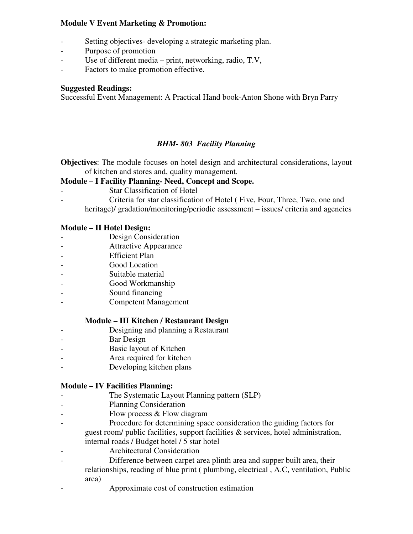#### **Module V Event Marketing & Promotion:**

- Setting objectives- developing a strategic marketing plan.
- Purpose of promotion
- Use of different media print, networking, radio, T.V,
- Factors to make promotion effective.

#### **Suggested Readings:**

Successful Event Management: A Practical Hand book-Anton Shone with Bryn Parry

#### *BHM- 803 Facility Planning*

**Objectives**: The module focuses on hotel design and architectural considerations, layout of kitchen and stores and, quality management.

#### **Module – I Facility Planning- Need, Concept and Scope.**

- Star Classification of Hotel
- Criteria for star classification of Hotel ( Five, Four, Three, Two, one and heritage)/ gradation/monitoring/periodic assessment – issues/ criteria and agencies

#### **Module – II Hotel Design:**

- Design Consideration
- Attractive Appearance
- Efficient Plan
- Good Location
- Suitable material
- Good Workmanship
- Sound financing
- Competent Management

#### **Module – III Kitchen / Restaurant Design**

- Designing and planning a Restaurant
- Bar Design
- Basic layout of Kitchen
- Area required for kitchen
- Developing kitchen plans

#### **Module – IV Facilities Planning:**

- The Systematic Layout Planning pattern (SLP)
- Planning Consideration
- Flow process & Flow diagram
- Procedure for determining space consideration the guiding factors for guest room/ public facilities, support facilities & services, hotel administration, internal roads / Budget hotel / 5 star hotel
	- Architectural Consideration
- Difference between carpet area plinth area and supper built area, their relationships, reading of blue print ( plumbing, electrical , A.C, ventilation, Public area)
- Approximate cost of construction estimation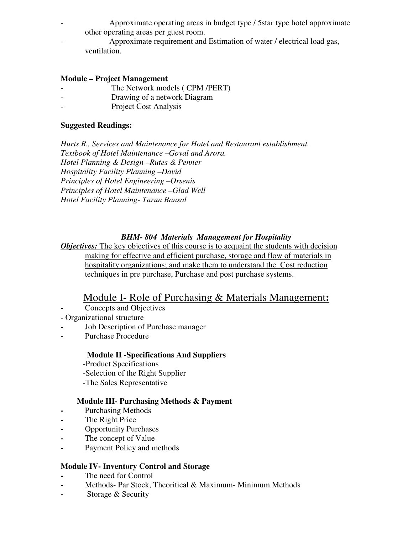- Approximate operating areas in budget type / 5star type hotel approximate other operating areas per guest room.
- Approximate requirement and Estimation of water / electrical load gas, ventilation.

#### **Module – Project Management**

- The Network models (CPM /PERT)
- Drawing of a network Diagram
- Project Cost Analysis

#### **Suggested Readings:**

*Hurts R., Services and Maintenance for Hotel and Restaurant establishment. Textbook of Hotel Maintenance –Goyal and Arora. Hotel Planning & Design –Rutes & Penner Hospitality Facility Planning –David Principles of Hotel Engineering –Orsenis Principles of Hotel Maintenance –Glad Well Hotel Facility Planning- Tarun Bansal* 

# *BHM- 804 Materials Management for Hospitality*

*Objectives:* The key objectives of this course is to acquaint the students with decision making for effective and efficient purchase, storage and flow of materials in hospitality organizations; and make them to understand the Cost reduction techniques in pre purchase, Purchase and post purchase systems.

# Module I- Role of Purchasing & Materials Management**:**

- **-** Concepts and Objectives
- Organizational structure
- **-** Job Description of Purchase manager
- **-** Purchase Procedure

# **Module II -Specifications And Suppliers**

-Product Specifications

- -Selection of the Right Supplier
- -The Sales Representative

# **Module III- Purchasing Methods & Payment**

- **-** Purchasing Methods
- **-** The Right Price
- **-** Opportunity Purchases
- **-** The concept of Value
- **-** Payment Policy and methods

# **Module IV- Inventory Control and Storage**

- **-** The need for Control
- **-** Methods- Par Stock, Theoritical & Maximum- Minimum Methods
- **-** Storage & Security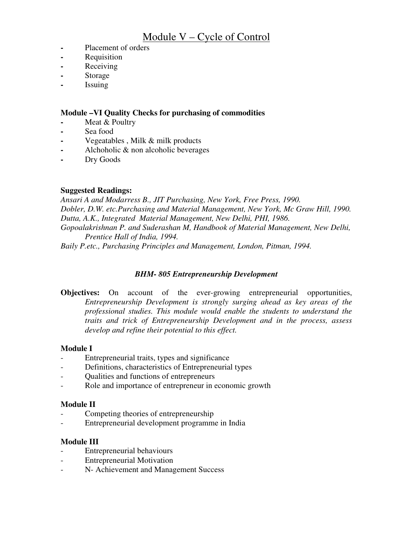# Module V – Cycle of Control

- **-** Placement of orders
- **-** Requisition
- **-** Receiving
- **-** Storage
- **-** Issuing

#### **Module –VI Quality Checks for purchasing of commodities**

- **-** Meat & Poultry
- **-** Sea food
- **-** Vegeatables , Milk & milk products
- **-** Alchoholic & non alcoholic beverages
- **-** Dry Goods

#### **Suggested Readings:**

*Ansari A and Modarress B., JIT Purchasing, New York, Free Press, 1990. Dobler, D.W. etc.Purchasing and Material Management, New York, Mc Graw Hill, 1990. Dutta, A.K., Integrated Material Management, New Delhi, PHI, 1986. Gopoalakrishnan P. and Suderashan M, Handbook of Material Management, New Delhi, Prentice Hall of India, 1994. Baily P.etc., Purchasing Principles and Management, London, Pitman, 1994.* 

# *BHM- 805 Entrepreneurship Development*

**Objectives:** On account of the ever-growing entrepreneurial opportunities, *Entrepreneurship Development is strongly surging ahead as key areas of the professional studies. This module would enable the students to understand the traits and trick of Entrepreneurship Development and in the process, assess develop and refine their potential to this effect.* 

#### **Module I**

- Entrepreneurial traits, types and significance
- Definitions, characteristics of Entrepreneurial types
- Qualities and functions of entrepreneurs
- Role and importance of entrepreneur in economic growth

#### **Module II**

- Competing theories of entrepreneurship
- Entrepreneurial development programme in India

# **Module III**

- Entrepreneurial behaviours
- Entrepreneurial Motivation
- N- Achievement and Management Success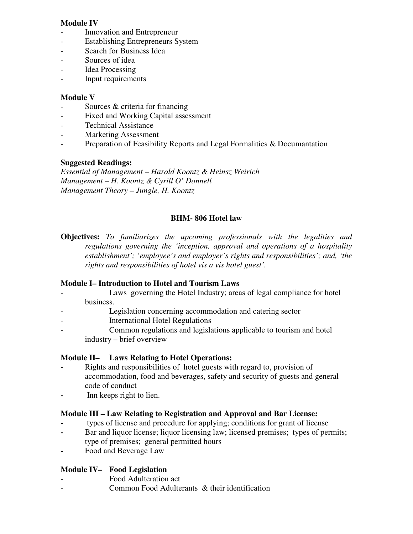### **Module IV**

- Innovation and Entrepreneur
- Establishing Entrepreneurs System
- Search for Business Idea
- Sources of idea
- Idea Processing
- Input requirements

### **Module V**

- Sources & criteria for financing
- Fixed and Working Capital assessment
- Technical Assistance
- Marketing Assessment
- Preparation of Feasibility Reports and Legal Formalities & Documantation

#### **Suggested Readings:**

*Essential of Management – Harold Koontz & Heinsz Weirich Management – H. Koontz & Cyrill O' Donnell Management Theory – Jungle, H. Koontz* 

#### **BHM- 806 Hotel law**

**Objectives:** *To familiarizes the upcoming professionals with the legalities and regulations governing the 'inception, approval and operations of a hospitality establishment'; 'employee's and employer's rights and responsibilities'; and, 'the rights and responsibilities of hotel vis a vis hotel guest'.*

#### **Module I– Introduction to Hotel and Tourism Laws**

- Laws governing the Hotel Industry; areas of legal compliance for hotel business.
- Legislation concerning accommodation and catering sector
- International Hotel Regulations
- Common regulations and legislations applicable to tourism and hotel industry – brief overview

# **Module II– Laws Relating to Hotel Operations:**

- **-** Rights and responsibilities of hotel guests with regard to, provision of accommodation, food and beverages, safety and security of guests and general code of conduct
- **-** Inn keeps right to lien.

#### **Module III – Law Relating to Registration and Approval and Bar License:**

- **-** types of license and procedure for applying; conditions for grant of license
- **-** Bar and liquor license; liquor licensing law; licensed premises; types of permits; type of premises; general permitted hours
- **-** Food and Beverage Law

# **Module IV– Food Legislation**

- Food Adulteration act
- Common Food Adulterants & their identification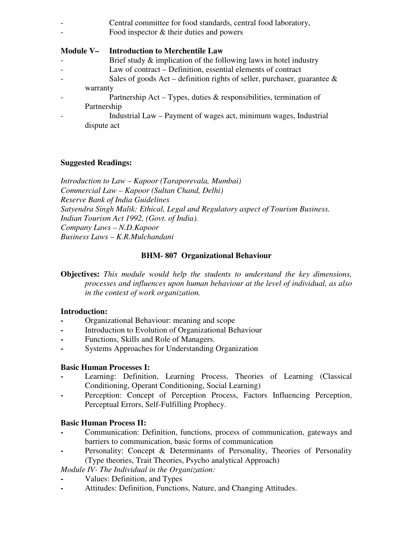- Central committee for food standards, central food laboratory,
	- Food inspector & their duties and powers

# **Module V– Introduction to Merchentile Law**

- Brief study  $\&$  implication of the following laws in hotel industry
- Law of contract Definition, essential elements of contract
- Sales of goods Act definition rights of seller, purchaser, guarantee & warranty
- Partnership Act Types, duties  $\&$  responsibilities, termination of Partnership
- Industrial Law Payment of wages act, minimum wages, Industrial dispute act

# **Suggested Readings:**

*Introduction to Law – Kapoor (Taraporevala, Mumbai) Commercial Law – Kapoor (Sultan Chand, Delhi) Reserve Bank of India Guidelines Satyendra Singh Malik: Ethical, Legal and Regulatory aspect of Tourism Business. Indian Tourism Act 1992, (Govt. of India). Company Laws – N.D.Kapoor Business Laws – K.R.Mulchandani*

# **BHM- 807 Organizational Behaviour**

**Objectives:** *This module would help the students to understand the key dimensions, processes and influences upon human behaviour at the level of individual, as also in the context of work organization.* 

# **Introduction:**

- **-** Organizational Behaviour: meaning and scope
- **-** Introduction to Evolution of Organizational Behaviour
- **-** Functions, Skills and Role of Managers.
- **-** Systems Approaches for Understanding Organization

# **Basic Human Processes I:**

- Learning: Definition, Learning Process, Theories of Learning (Classical Conditioning, Operant Conditioning, Social Learning)
- Perception: Concept of Perception Process, Factors Influencing Perception, Perceptual Errors, Self-Fulfilling Prophecy.

# **Basic Human Process II:**

- **-** Communication: Definition, functions, process of communication, gateways and barriers to communication, basic forms of communication
- Personality: Concept & Determinants of Personality, Theories of Personality (Type theories, Trait Theories, Psycho analytical Approach)

*Module IV- The Individual in the Organization:* 

- **-** Values: Definition, and Types
- **-** Attitudes: Definition, Functions, Nature, and Changing Attitudes.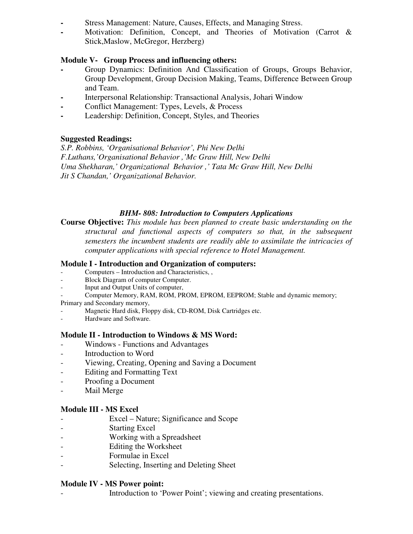- **-** Stress Management: Nature, Causes, Effects, and Managing Stress.
- **-** Motivation: Definition, Concept, and Theories of Motivation (Carrot & Stick,Maslow, McGregor, Herzberg)

#### **Module V- Group Process and influencing others:**

- **-** Group Dynamics: Definition And Classification of Groups, Groups Behavior, Group Development, Group Decision Making, Teams, Difference Between Group and Team.
- **-** Interpersonal Relationship: Transactional Analysis, Johari Window
- **-** Conflict Management: Types, Levels, & Process
- **-** Leadership: Definition, Concept, Styles, and Theories

# **Suggested Readings:**

*S.P. Robbins, 'Organisational Behavior', Phi New Delhi F.Luthans,'Organisational Behavior ,'Mc Graw Hill, New Delhi Uma Shekharan,' Organizational Behavior ,' Tata Mc Graw Hill, New Delhi Jit S Chandan,' Organizational Behavior.* 

#### *BHM- 808: Introduction to Computers Applications*

**Course Objective:** *This module has been planned to create basic understanding on the structural and functional aspects of computers so that, in the subsequent semesters the incumbent students are readily able to assimilate the intricacies of computer applications with special reference to Hotel Management.* 

#### **Module I - Introduction and Organization of computers:**

- Computers Introduction and Characteristics, ,
- Block Diagram of computer Computer.
- Input and Output Units of computer,
- Computer Memory, RAM, ROM, PROM, EPROM, EEPROM; Stable and dynamic memory;
- Primary and Secondary memory,
- Magnetic Hard disk, Floppy disk, CD-ROM, Disk Cartridges etc.
- Hardware and Software.

#### **Module II - Introduction to Windows & MS Word:**

- Windows Functions and Advantages
- Introduction to Word
- Viewing, Creating, Opening and Saving a Document
- Editing and Formatting Text
- Proofing a Document
- Mail Merge

# **Module III - MS Excel**

- Excel Nature; Significance and Scope
- Starting Excel
- Working with a Spreadsheet
- Editing the Worksheet
- Formulae in Excel
- Selecting, Inserting and Deleting Sheet

#### **Module IV - MS Power point:**

Introduction to 'Power Point'; viewing and creating presentations.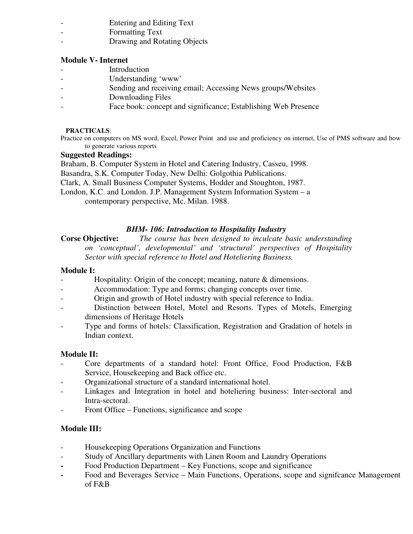- Entering and Editing Text
- Formatting Text
- Drawing and Rotating Objects

# **Module V- Internet**

- **Introduction**
- Understanding 'www'
- Sending and receiving email; Accessing News groups/Websites
- Downloading Files
- Face book: concept and significance; Establishing Web Presence

#### **PRACTICALS**:

Practice on computers on MS word, Excel, Power Point and use and proficiency on internet, Use of PMS software and how to generate various reports

#### **Suggested Readings:**

Braham, B. Computer System in Hotel and Catering Industry, Casseu, 1998.

Basandra, S.K. Computer Today, New Delhi: Golgothia Publications.

Clark, A. Small Business Computer Systems, Hodder and Stoughton, 1987.

London, K.C. and London. J.P. Management System Information System – a contemporary perspective, Mc. Milan. 1988.

# *BHM- 106: Introduction to Hospitality Industry*

**Corse Objective:** *The course has been designed to inculcate basic understanding on 'conceptual', developmental' and 'structural' perspectives of Hospitality Sector with special reference to Hotel and Hoteliering Business.* 

### **Module I:**

- Hospitality: Origin of the concept; meaning, nature & dimensions.
- Accommodation: Type and forms; changing concepts over time.
- Origin and growth of Hotel industry with special reference to India.
- Distinction between Hotel, Motel and Resorts. Types of Motels, Emerging dimensions of Heritage Hotels
- Type and forms of hotels: Classification, Registration and Gradation of hotels in Indian context.

# **Module II:**

- Core departments of a standard hotel: Front Office, Food Production, F&B Service, Housekeeping and Back office etc.
- Organizational structure of a standard international hotel.
- Linkages and Integration in hotel and hoteliering business: Inter-sectoral and Intra-sectoral.
- Front Office Functions, significance and scope

# **Module III:**

- Housekeeping Operations Organization and Functions
- Study of Ancillary departments with Linen Room and Laundry Operations
- Food Production Department Key Functions, scope and significance
- **-** Food and Beverages Service Main Functions, Operations, scope and signifcance Management of F&B